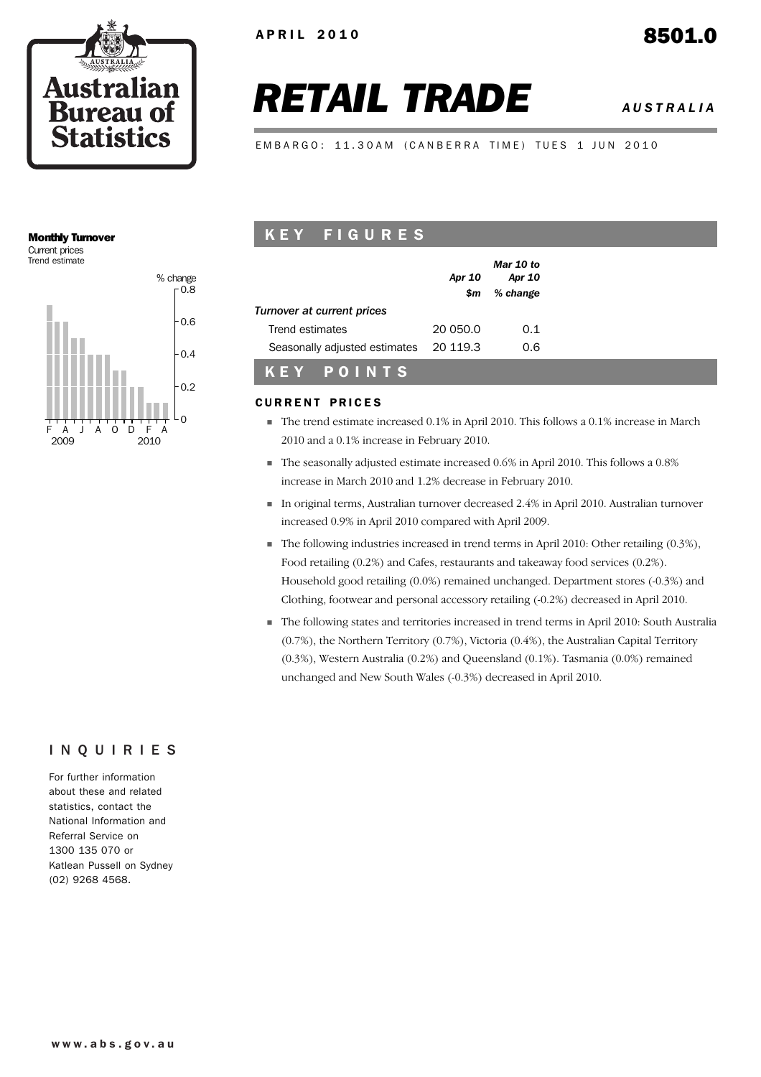

# *RETAIL TRADE AUSTRALIA*

EMBARGO: 11.30AM (CANBERRA TIME) TUES 1 JUN 2010

# Monthly Turnover

Current prices Trend estimate



| KEY FIGURES |
|-------------|
|-------------|

|                               | Apr 10   | Mar 10 to<br>Apr 10 |
|-------------------------------|----------|---------------------|
|                               | \$m      | % change            |
| Turnover at current prices    |          |                     |
| Trend estimates               | 20.050.0 | 0.1                 |
| Seasonally adjusted estimates | 20 119.3 | 0.6                 |
| POINTS<br>K E Y I             |          |                     |

# CURRENT PRICES

- ! The trend estimate increased 0.1% in April 2010. This follows a 0.1% increase in March 2010 and a 0.1% increase in February 2010.
- ! The seasonally adjusted estimate increased 0.6% in April 2010. This follows a 0.8% increase in March 2010 and 1.2% decrease in February 2010.
- ! In original terms, Australian turnover decreased 2.4% in April 2010. Australian turnover increased 0.9% in April 2010 compared with April 2009.
- ! The following industries increased in trend terms in April 2010: Other retailing (0.3%), Food retailing (0.2%) and Cafes, restaurants and takeaway food services (0.2%). Household good retailing (0.0%) remained unchanged. Department stores (-0.3%) and Clothing, footwear and personal accessory retailing (-0.2%) decreased in April 2010.
- ! The following states and territories increased in trend terms in April 2010: South Australia (0.7%), the Northern Territory (0.7%), Victoria (0.4%), the Australian Capital Territory (0.3%), Western Australia (0.2%) and Queensland (0.1%). Tasmania (0.0%) remained unchanged and New South Wales (-0.3%) decreased in April 2010.

#### INQUIRIES

For further information about these and related statistics, contact the National Information and Referral Service on 1300 135 070 or Katlean Pussell on Sydney (02) 9268 4568.

#### **www.abs.gov.au**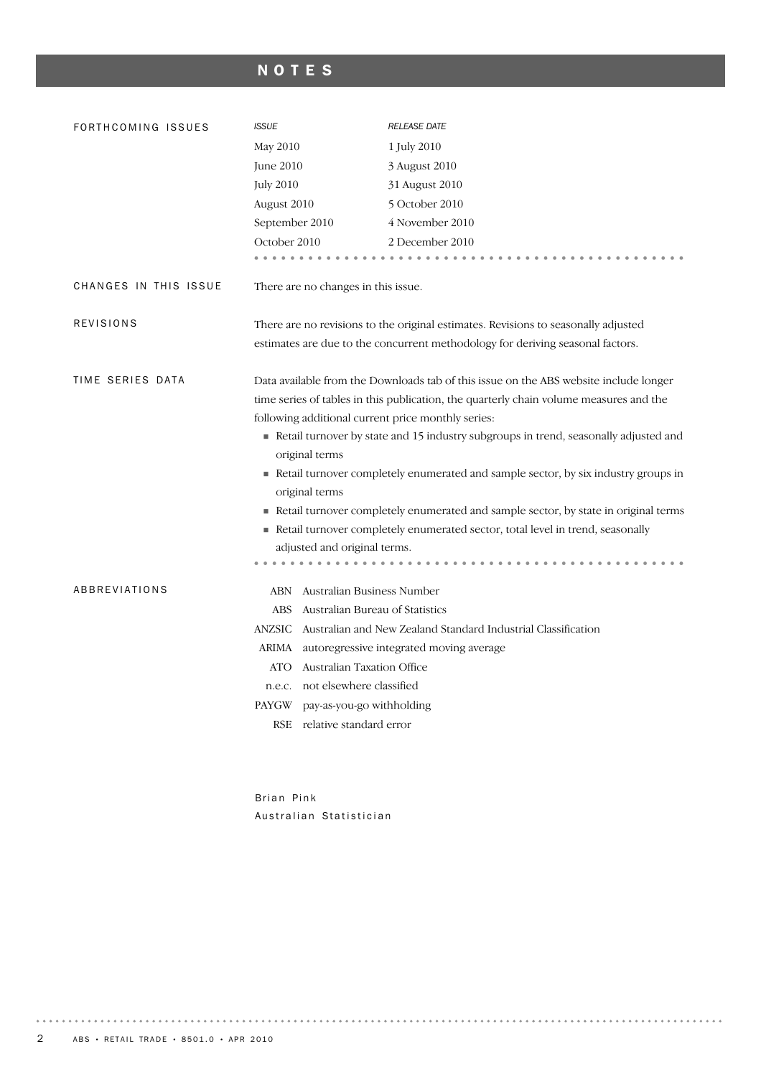# NOTES

| FORTHCOMING ISSUES    | <b>ISSUE</b>                                                                                           | <b>RELEASE DATE</b>                                                                                                                                                             |  |  |  |  |
|-----------------------|--------------------------------------------------------------------------------------------------------|---------------------------------------------------------------------------------------------------------------------------------------------------------------------------------|--|--|--|--|
|                       | May 2010                                                                                               | 1 July 2010                                                                                                                                                                     |  |  |  |  |
|                       | June 2010                                                                                              | 3 August 2010                                                                                                                                                                   |  |  |  |  |
|                       | <b>July 2010</b>                                                                                       | 31 August 2010                                                                                                                                                                  |  |  |  |  |
|                       | August 2010                                                                                            | 5 October 2010                                                                                                                                                                  |  |  |  |  |
|                       | September 2010                                                                                         | 4 November 2010                                                                                                                                                                 |  |  |  |  |
|                       | October 2010                                                                                           | 2 December 2010                                                                                                                                                                 |  |  |  |  |
|                       |                                                                                                        |                                                                                                                                                                                 |  |  |  |  |
| CHANGES IN THIS ISSUE | There are no changes in this issue.                                                                    |                                                                                                                                                                                 |  |  |  |  |
| <b>REVISIONS</b>      |                                                                                                        | There are no revisions to the original estimates. Revisions to seasonally adjusted                                                                                              |  |  |  |  |
|                       |                                                                                                        | estimates are due to the concurrent methodology for deriving seasonal factors.                                                                                                  |  |  |  |  |
| TIME SERIES DATA      |                                                                                                        | Data available from the Downloads tab of this issue on the ABS website include longer<br>time series of tables in this publication, the quarterly chain volume measures and the |  |  |  |  |
|                       | following additional current price monthly series:                                                     |                                                                                                                                                                                 |  |  |  |  |
|                       | Retail turnover by state and 15 industry subgroups in trend, seasonally adjusted and<br>original terms |                                                                                                                                                                                 |  |  |  |  |
|                       | Retail turnover completely enumerated and sample sector, by six industry groups in<br>original terms   |                                                                                                                                                                                 |  |  |  |  |
|                       |                                                                                                        | Retail turnover completely enumerated and sample sector, by state in original terms                                                                                             |  |  |  |  |
|                       |                                                                                                        | Retail turnover completely enumerated sector, total level in trend, seasonally                                                                                                  |  |  |  |  |
|                       | adjusted and original terms.                                                                           |                                                                                                                                                                                 |  |  |  |  |
| ABBREVIATIONS         | Australian Business Number<br>ABN                                                                      |                                                                                                                                                                                 |  |  |  |  |
|                       | ABS<br>Australian Bureau of Statistics                                                                 |                                                                                                                                                                                 |  |  |  |  |
|                       | <b>ANZSIC</b>                                                                                          | Australian and New Zealand Standard Industrial Classification                                                                                                                   |  |  |  |  |
|                       |                                                                                                        | ARIMA autoregressive integrated moving average                                                                                                                                  |  |  |  |  |
|                       | <b>Australian Taxation Office</b><br>ATO                                                               |                                                                                                                                                                                 |  |  |  |  |
|                       | n.e.c. not elsewhere classified                                                                        |                                                                                                                                                                                 |  |  |  |  |
|                       | PAYGW<br>pay-as-you-go withholding                                                                     |                                                                                                                                                                                 |  |  |  |  |
|                       | RSE relative standard error                                                                            |                                                                                                                                                                                 |  |  |  |  |
|                       |                                                                                                        |                                                                                                                                                                                 |  |  |  |  |
|                       |                                                                                                        |                                                                                                                                                                                 |  |  |  |  |

Brian Pink Australian Statistician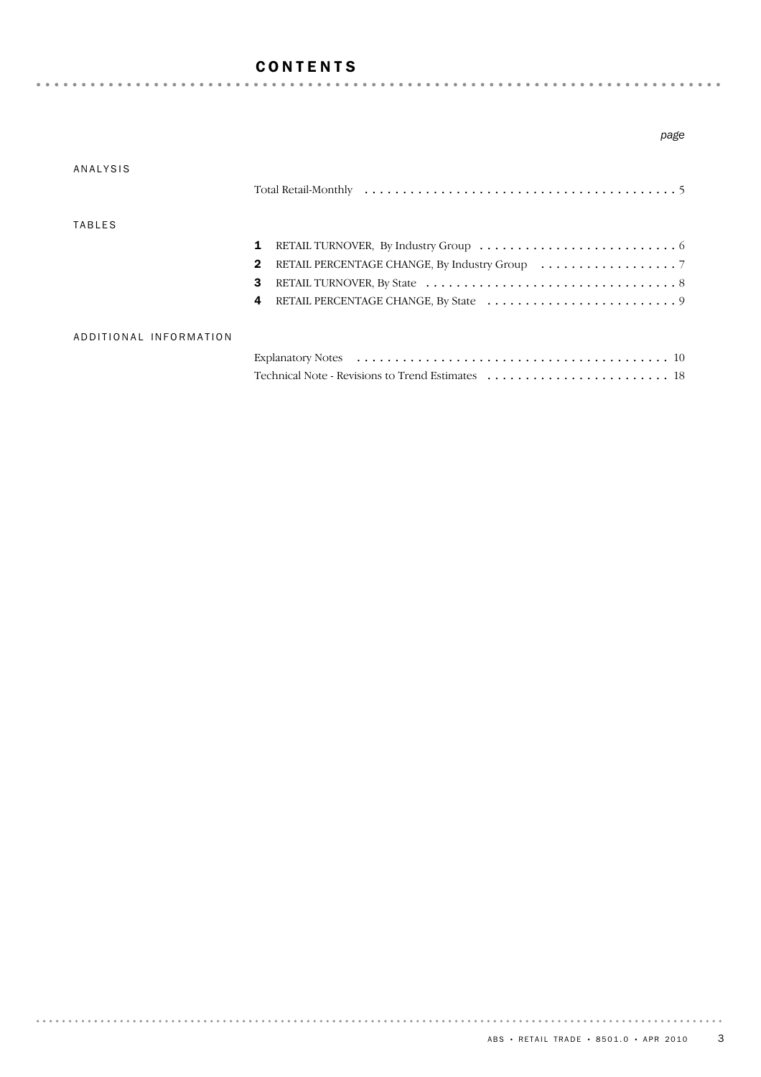## CONTENTS

|                        | page         |
|------------------------|--------------|
| <b>ANALYSIS</b>        |              |
| <b>TABLES</b>          |              |
|                        | 1            |
|                        | $\mathbf{2}$ |
|                        | 3            |
|                        | 4            |
| ADDITIONAL INFORMATION |              |
|                        |              |
|                        |              |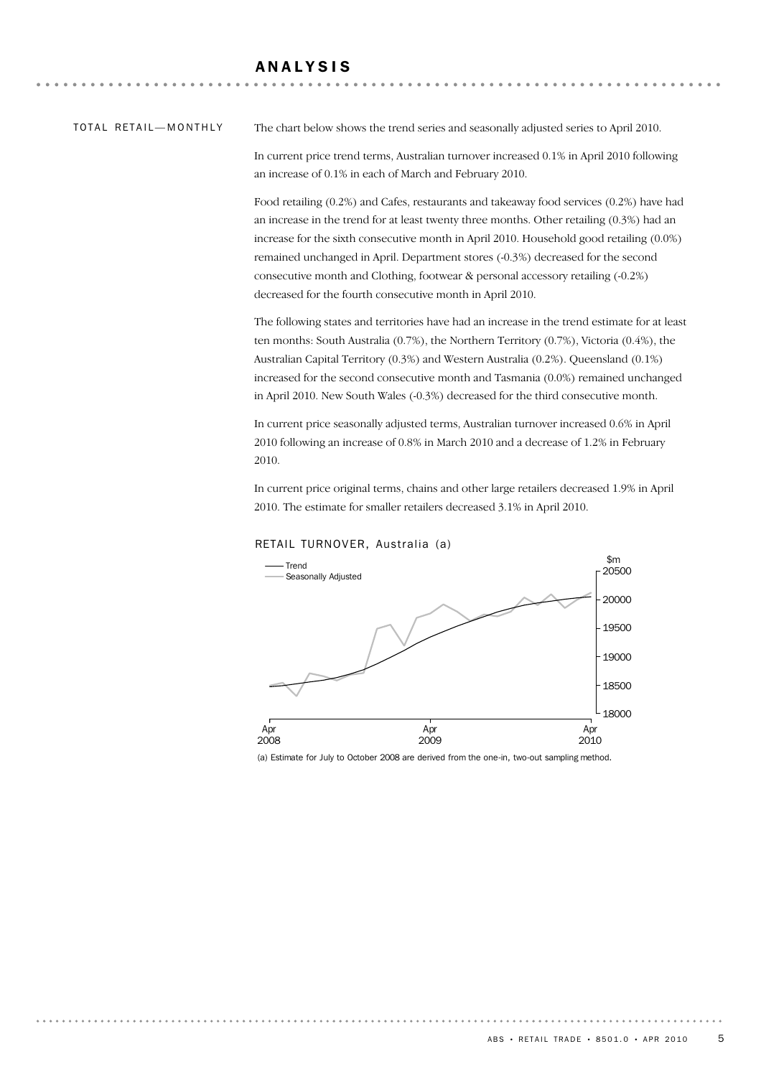#### TOTAL RETAIL — MONTHLY

The chart below shows the trend series and seasonally adjusted series to April 2010.

In current price trend terms, Australian turnover increased 0.1% in April 2010 following an increase of 0.1% in each of March and February 2010.

Food retailing (0.2%) and Cafes, restaurants and takeaway food services (0.2%) have had an increase in the trend for at least twenty three months. Other retailing (0.3%) had an increase for the sixth consecutive month in April 2010. Household good retailing (0.0%) remained unchanged in April. Department stores (-0.3%) decreased for the second consecutive month and Clothing, footwear & personal accessory retailing (-0.2%) decreased for the fourth consecutive month in April 2010.

The following states and territories have had an increase in the trend estimate for at least ten months: South Australia (0.7%), the Northern Territory (0.7%), Victoria (0.4%), the Australian Capital Territory (0.3%) and Western Australia (0.2%). Queensland (0.1%) increased for the second consecutive month and Tasmania (0.0%) remained unchanged in April 2010. New South Wales (-0.3%) decreased for the third consecutive month.

In current price seasonally adjusted terms, Australian turnover increased 0.6% in April 2010 following an increase of 0.8% in March 2010 and a decrease of 1.2% in February 2010.

In current price original terms, chains and other large retailers decreased 1.9% in April 2010. The estimate for smaller retailers decreased 3.1% in April 2010.



RETAIL TURNOVER, Australia (a)

(a) Estimate for July to October 2008 are derived from the one-in, two-out sampling method.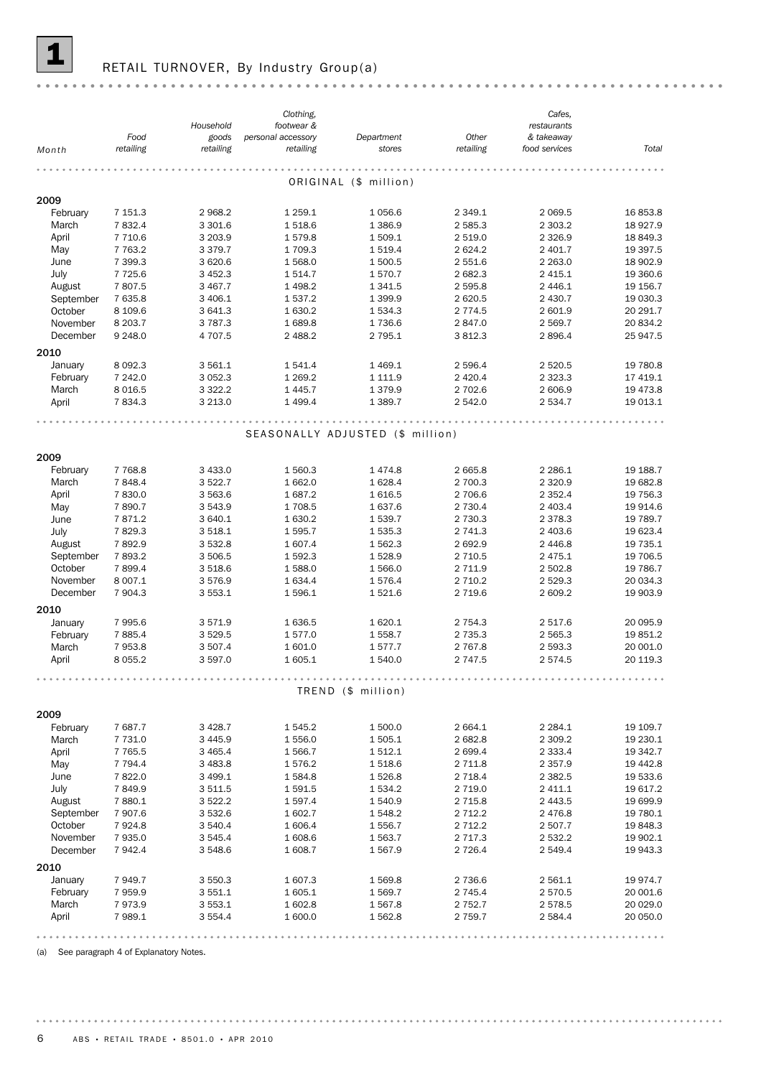

#### RETAIL TURNOVER, By Industry Group(a)

|           |            |             | Clothing,          |                                  |             | Cafes,        |           |
|-----------|------------|-------------|--------------------|----------------------------------|-------------|---------------|-----------|
|           |            | Household   | footwear &         |                                  |             | restaurants   |           |
|           | Food       | goods       | personal accessory | Department                       | Other       | & takeaway    |           |
| Month     | retailing  | retailing   | retailing          | stores                           | retailing   | food services | Total     |
|           |            |             |                    |                                  |             |               |           |
|           |            |             |                    |                                  |             |               |           |
|           |            |             |                    | ORIGINAL (\$ million)            |             |               |           |
| 2009      |            |             |                    |                                  |             |               |           |
| February  | 7 151.3    | 2 968.2     | 1 259.1            | 1 0 5 6.6                        | 2 3 4 9.1   | 2 0 6 9.5     | 16853.8   |
| March     | 7832.4     | 3 301.6     | 1518.6             | 1 386.9                          | 2 5 8 5 . 3 | 2 3 0 3.2     | 18 9 27.9 |
| April     | 7 7 1 0.6  | 3 203.9     | 1579.8             | 1 509.1                          | 2 519.0     | 2 3 2 6.9     | 18 849.3  |
| May       | 7 7 6 3.2  | 3 3 7 9 . 7 | 1709.3             | 1 519.4                          | 2 6 2 4 . 2 | 2 401.7       | 19 397.5  |
| June      | 7 399.3    | 3 620.6     | 1 568.0            | 1 500.5                          | 2 551.6     | 2 2 6 3 .0    | 18 902.9  |
| July      |            |             |                    |                                  |             |               |           |
|           | 7 7 2 5.6  | 3 4 5 2.3   | 1514.7             | 1570.7                           | 2 682.3     | 2 4 1 5 . 1   | 19 360.6  |
| August    | 7807.5     | 3 467.7     | 1 4 9 8.2          | 1 341.5                          | 2 5 9 5.8   | 2 4 4 6.1     | 19 156.7  |
| September | 7 635.8    | 3 406.1     | 1 537.2            | 1 399.9                          | 2 6 2 0.5   | 2 430.7       | 19 030.3  |
| October   | 8 109.6    | 3 641.3     | 1 630.2            | 1 534.3                          | 2 7 7 4.5   | 2 601.9       | 20 291.7  |
| November  | 8 2 0 3.7  | 3 7 8 7.3   | 1689.8             | 1736.6                           | 2847.0      | 2 569.7       | 20 834.2  |
| December  | 9 2 4 8 .0 | 4 707.5     | 2 488.2            | 2 795.1                          | 3812.3      | 2896.4        | 25 947.5  |
| 2010      |            |             |                    |                                  |             |               |           |
| January   | 8 0 9 2.3  | 3 561.1     | 1541.4             | 1 4 6 9.1                        | 2 5 9 6.4   | 2 5 2 0.5     | 19 780.8  |
| February  | 7 242.0    | 3 0 5 2.3   | 1 2 6 9.2          | 1 111.9                          | 2 4 2 0.4   | 2 3 2 3 . 3   | 17 419.1  |
| March     |            |             |                    |                                  |             |               |           |
|           | 8 0 16.5   | 3 3 2 2.2   | 1 4 4 5.7          | 1 379.9                          | 2 702.6     | 2 606.9       | 19 473.8  |
| April     | 7834.3     | 3 2 1 3 . 0 | 1 4 9 9.4          | 1 389.7                          | 2 542.0     | 2 5 3 4.7     | 19 013.1  |
|           |            |             |                    |                                  |             |               |           |
|           |            |             |                    | SEASONALLY ADJUSTED (\$ million) |             |               |           |
|           |            |             |                    |                                  |             |               |           |
| 2009      |            |             |                    |                                  |             |               |           |
| February  | 7 7 68.8   | 3 4 3 3 . 0 | 1 560.3            | 1474.8                           | 2 665.8     | 2 2 8 6.1     | 19 188.7  |
| March     |            |             |                    |                                  |             |               |           |
|           | 7848.4     | 3522.7      | 1 662.0            | 1 628.4                          | 2 700.3     | 2 3 2 0.9     | 19 682.8  |
| April     | 7830.0     | 3 563.6     | 1687.2             | 1 616.5                          | 2 706.6     | 2 3 5 2.4     | 19 756.3  |
| May       | 7890.7     | 3 543.9     | 1708.5             | 1 637.6                          | 2 730.4     | 2 403.4       | 19 914.6  |
| June      | 7871.2     | 3 640.1     | 1 630.2            | 1539.7                           | 2 730.3     | 2 3 7 8 . 3   | 19 789.7  |
| July      | 7829.3     | 3 518.1     | 1 595.7            | 1 535.3                          | 2 741.3     | 2 403.6       | 19 623.4  |
| August    | 7892.9     | 3 532.8     | 1 607.4            | 1 562.3                          | 2 692.9     | 2 4 4 6.8     | 19 735.1  |
| September | 7893.2     | 3 506.5     | 1 592.3            | 1 5 28.9                         | 2 7 1 0.5   | 2 4 7 5 . 1   | 19 706.5  |
| October   | 7899.4     | 3 518.6     | 1588.0             | 1 566.0                          | 2 7 1 1.9   | 2 502.8       | 19 786.7  |
| November  | 8 0 0 7.1  | 3576.9      | 1 634.4            | 1576.4                           | 2 7 1 0.2   | 2 5 2 9.3     | 20 034.3  |
| December  | 7 904.3    | 3 553.1     | 1 596.1            | 1 521.6                          | 2 7 1 9.6   | 2 609.2       | 19 903.9  |
|           |            |             |                    |                                  |             |               |           |
| 2010      |            |             |                    |                                  |             |               |           |
| January   | 7995.6     | 3571.9      | 1 636.5            | 1 620.1                          | 2 7 5 4 . 3 | 2 517.6       | 20 095.9  |
| February  | 7885.4     | 3 5 29.5    | 1577.0             | 1 558.7                          | 2 7 3 5 . 3 | 2 5 6 5.3     | 19 851.2  |
| March     | 7953.8     | 3 507.4     | 1 601.0            | 1577.7                           | 2 7 6 7 .8  | 2 593.3       | 20 001.0  |
| April     | 8 0 5 5.2  | 3 597.0     | 1 605.1            | 1 540.0                          | 2 747.5     | 2574.5        | 20 119.3  |
|           |            |             |                    |                                  |             |               |           |
|           |            |             |                    |                                  |             |               |           |
|           |            |             |                    | TREND (\$ million)               |             |               |           |
|           |            |             |                    |                                  |             |               |           |
| 2009      |            |             |                    |                                  |             |               |           |
| February  | 7687.7     | 3 4 28.7    | 1 545.2            | 1 500.0                          | 2 664.1     | 2 2 8 4 . 1   | 19 109.7  |
| March     | 7 731.0    | 3 4 4 5.9   | 1 556.0            | 1 505.1                          | 2 682.8     | 2 3 0 9.2     | 19 230.1  |
| April     | 7 7 6 5 .5 | 3 4 6 5.4   | 1 566.7            | 1 512.1                          | 2 699.4     | 2 3 3 3.4     | 19 342.7  |
| May       | 7 7 9 4.4  | 3 4 8 3.8   | 1576.2             | 1 518.6                          | 2 711.8     | 2 3 5 7 . 9   | 19 442.8  |
| June      | 7822.0     | 3 499.1     | 1584.8             | 1 5 2 6.8                        | 2 7 18.4    | 2 3 8 2.5     | 19 533.6  |
| July      | 7849.9     | 3 511.5     | 1 591.5            | 1 534.2                          | 2 7 1 9.0   | 2 411.1       | 19 617.2  |
| August    | 7880.1     | 3 5 2 2.2   | 1597.4             | 1 540.9                          | 2 7 1 5.8   | 2 4 4 3 .5    | 19 699.9  |
| September | 7 907.6    | 3 532.6     | 1 602.7            | 1 548.2                          | 2 7 1 2 . 2 | 2 4 7 6.8     | 19 780.1  |
| October   | 7924.8     | 3 540.4     | 1 606.4            | 1 556.7                          | 2 7 1 2.2   | 2 507.7       | 19 848.3  |
| November  | 7935.0     | 3 545.4     | 1 608.6            | 1 563.7                          | 2 7 1 7 . 3 | 2 532.2       | 19 902.1  |
| December  | 7942.4     | 3 548.6     | 1 608.7            | 1 567.9                          | 2 7 2 6.4   | 2 549.4       | 19 943.3  |
|           |            |             |                    |                                  |             |               |           |
| 2010      |            |             |                    |                                  |             |               |           |
| January   | 7 949.7    | 3 550.3     | 1 607.3            | 1 569.8                          | 2 736.6     | 2 561.1       | 19974.7   |
| February  | 7959.9     | 3 551.1     | 1 605.1            | 1 569.7                          | 2 745.4     | 2 570.5       | 20 001.6  |
| March     | 7973.9     | 3 553.1     | 1 602.8            | 1 567.8                          | 2 7 5 2 . 7 | 2578.5        | 20 029.0  |
| April     | 7989.1     | 3 554.4     | 1 600.0            | 1 562.8                          | 2 7 5 9.7   | 2 5 8 4.4     | 20 050.0  |
|           |            |             |                    |                                  |             |               |           |
|           |            |             |                    |                                  |             |               | .         |

(a) See paragraph 4 of Explanatory Notes.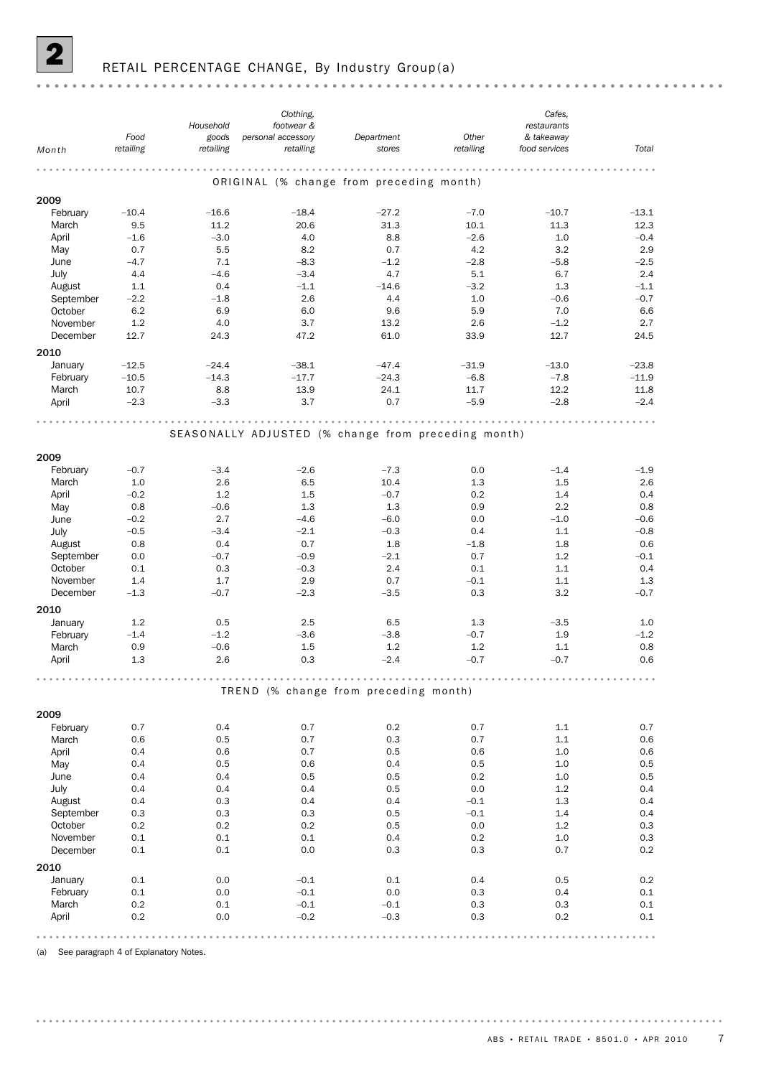

# RETAIL PERCENTAGE CHANGE, By Industry Group(a)

|                     |                   |                                                     | Clothing,                       |                                          |                    | Cafes,                      |               |
|---------------------|-------------------|-----------------------------------------------------|---------------------------------|------------------------------------------|--------------------|-----------------------------|---------------|
|                     |                   | Household                                           | footwear &                      |                                          |                    | restaurants                 |               |
| Month               | Food<br>retailing | goods<br>retailing                                  | personal accessory<br>retailing | Department<br>stores                     | Other<br>retailing | & takeaway<br>food services | Total         |
|                     |                   |                                                     |                                 |                                          |                    |                             |               |
|                     |                   |                                                     |                                 | ORIGINAL (% change from preceding month) |                    |                             |               |
|                     |                   |                                                     |                                 |                                          |                    |                             |               |
| 2009                |                   |                                                     |                                 |                                          |                    |                             |               |
| February            | $-10.4$           | $-16.6$                                             | $-18.4$                         | $-27.2$                                  | $-7.0$             | $-10.7$                     | $-13.1$       |
| March               | 9.5               | 11.2                                                | 20.6                            | 31.3                                     | 10.1               | 11.3                        | 12.3          |
| April               | $-1.6$            | $-3.0$                                              | 4.0                             | 8.8                                      | $-2.6$             | 1.0                         | $-0.4$        |
| May                 | 0.7               | 5.5                                                 | 8.2                             | 0.7                                      | 4.2                | 3.2                         | 2.9           |
| June                | $-4.7$            | 7.1                                                 | $-8.3$                          | $-1.2$                                   | $-2.8$             | $-5.8$                      | $-2.5$        |
| July                | 4.4<br>1.1        | $-4.6$<br>0.4                                       | $-3.4$<br>$-1.1$                | 4.7<br>$-14.6$                           | 5.1<br>$-3.2$      | 6.7<br>1.3                  | 2.4<br>$-1.1$ |
| August<br>September | $-2.2$            | $-1.8$                                              | 2.6                             | 4.4                                      | 1.0                | $-0.6$                      | $-0.7$        |
| October             | 6.2               | 6.9                                                 | 6.0                             | 9.6                                      | 5.9                | 7.0                         | 6.6           |
| November            | 1.2               | 4.0                                                 | 3.7                             | 13.2                                     | 2.6                | $-1.2$                      | 2.7           |
| December            | 12.7              | 24.3                                                | 47.2                            | 61.0                                     | 33.9               | 12.7                        | 24.5          |
|                     |                   |                                                     |                                 |                                          |                    |                             |               |
| 2010                |                   |                                                     |                                 |                                          |                    |                             |               |
| January             | $-12.5$           | $-24.4$                                             | $-38.1$                         | $-47.4$                                  | $-31.9$            | $-13.0$                     | $-23.8$       |
| February            | $-10.5$           | $-14.3$                                             | $-17.7$                         | $-24.3$                                  | $-6.8$             | $-7.8$                      | $-11.9$       |
| March               | 10.7              | 8.8                                                 | 13.9                            | 24.1                                     | 11.7               | 12.2                        | 11.8          |
| April               | $-2.3$            | $-3.3$                                              | 3.7                             | 0.7                                      | $-5.9$             | $-2.8$                      | $-2.4$        |
|                     |                   |                                                     |                                 |                                          |                    |                             |               |
|                     |                   | SEASONALLY ADJUSTED (% change from preceding month) |                                 |                                          |                    |                             |               |
|                     |                   |                                                     |                                 |                                          |                    |                             |               |
| 2009                |                   |                                                     |                                 |                                          |                    |                             |               |
| February            | $-0.7$            | $-3.4$                                              | $-2.6$                          | $-7.3$                                   | 0.0                | $-1.4$                      | $-1.9$        |
| March               | 1.0               | 2.6                                                 | 6.5                             | 10.4                                     | 1.3                | 1.5                         | 2.6           |
| April               | $-0.2$            | 1.2                                                 | 1.5                             | $-0.7$                                   | 0.2                | 1.4                         | 0.4           |
| May                 | 0.8               | $-0.6$                                              | 1.3                             | 1.3                                      | 0.9                | 2.2                         | 0.8           |
| June                | $-0.2$            | 2.7                                                 | $-4.6$                          | $-6.0$                                   | 0.0                | $-1.0$                      | $-0.6$        |
| July                | $-0.5$            | $-3.4$                                              | $-2.1$                          | $-0.3$                                   | 0.4                | 1.1                         | $-0.8$        |
| August              | 0.8               | 0.4                                                 | 0.7                             | 1.8                                      | $-1.8$             | 1.8                         | 0.6           |
| September           | 0.0               | $-0.7$                                              | $-0.9$                          | $-2.1$                                   | 0.7                | 1.2                         | $-0.1$        |
| October             | 0.1               | 0.3                                                 | $-0.3$                          | 2.4                                      | 0.1                | 1.1                         | 0.4           |
| November            | 1.4               | 1.7                                                 | 2.9                             | 0.7                                      | $-0.1$             | 1.1                         | 1.3           |
| December            | $-1.3$            | $-0.7$                                              | $-2.3$                          | $-3.5$                                   | 0.3                | 3.2                         | $-0.7$        |
| 2010                |                   |                                                     |                                 |                                          |                    |                             |               |
| January             | 1.2               | 0.5                                                 | 2.5                             | 6.5                                      | 1.3                | $-3.5$                      | 1.0           |
| February            | $-1.4$            | $-1.2$                                              | $-3.6$                          | $-3.8$                                   | $-0.7$             | 1.9                         | $-1.2$        |
| March               | 0.9               | $-0.6$                                              | 1.5                             | 1.2                                      | 1.2                | 1.1                         | 0.8           |
| April               | 1.3               | 2.6                                                 | 0.3                             | $-2.4$                                   | $-0.7$             | $-0.7$                      | 0.6           |
|                     |                   |                                                     |                                 |                                          |                    |                             |               |
|                     |                   |                                                     |                                 | TREND (% change from preceding month)    |                    |                             |               |
|                     |                   |                                                     |                                 |                                          |                    |                             |               |
| 2009                |                   |                                                     |                                 |                                          |                    |                             |               |
| February            | 0.7               | 0.4                                                 | 0.7                             | $0.2\,$                                  | 0.7                | 1.1                         | 0.7           |
| March               | 0.6               | 0.5                                                 | 0.7                             | 0.3                                      | 0.7                | 1.1                         | 0.6           |
| April               | 0.4               | 0.6                                                 | 0.7                             | 0.5                                      | 0.6                | 1.0                         | 0.6           |
| May                 | 0.4               | 0.5                                                 | 0.6                             | 0.4                                      | 0.5                | 1.0                         | 0.5           |
| June                | 0.4               | 0.4                                                 | 0.5                             | 0.5                                      | 0.2                | 1.0                         | 0.5           |
| July                | 0.4               | 0.4                                                 | 0.4                             | 0.5                                      | 0.0                | 1.2                         | 0.4           |
| August              | 0.4               | 0.3                                                 | 0.4                             | 0.4                                      | $-0.1$             | 1.3                         | 0.4           |
| September           | 0.3               | 0.3                                                 | 0.3                             | 0.5                                      | $-0.1$             | 1.4                         | 0.4           |
| October             | 0.2               | 0.2                                                 | 0.2                             | 0.5                                      | 0.0                | 1.2                         | 0.3           |
| November            | $0.1\,$           | 0.1                                                 | 0.1                             | 0.4                                      | 0.2                | 1.0                         | $0.3\,$       |
| December            | $0.1\,$           | 0.1                                                 | 0.0                             | 0.3                                      | 0.3                | 0.7                         | $0.2\,$       |
| 2010                |                   |                                                     |                                 |                                          |                    |                             |               |
| January             | 0.1               | 0.0                                                 | $-0.1$                          | 0.1                                      | 0.4                | 0.5                         | 0.2           |
| February            | $0.1\,$           | 0.0                                                 | $-0.1$                          | 0.0                                      | 0.3                | 0.4                         | $0.1\,$       |
| March               | 0.2               | 0.1                                                 | $-0.1$                          | $-0.1$                                   | 0.3                | 0.3                         | $0.1\,$       |
| April               | 0.2               | 0.0                                                 | $-0.2$                          | $-0.3$                                   | 0.3                | 0.2                         | 0.1           |
|                     |                   |                                                     |                                 |                                          |                    |                             |               |
|                     |                   |                                                     |                                 |                                          |                    |                             |               |

(a) See paragraph 4 of Explanatory Notes.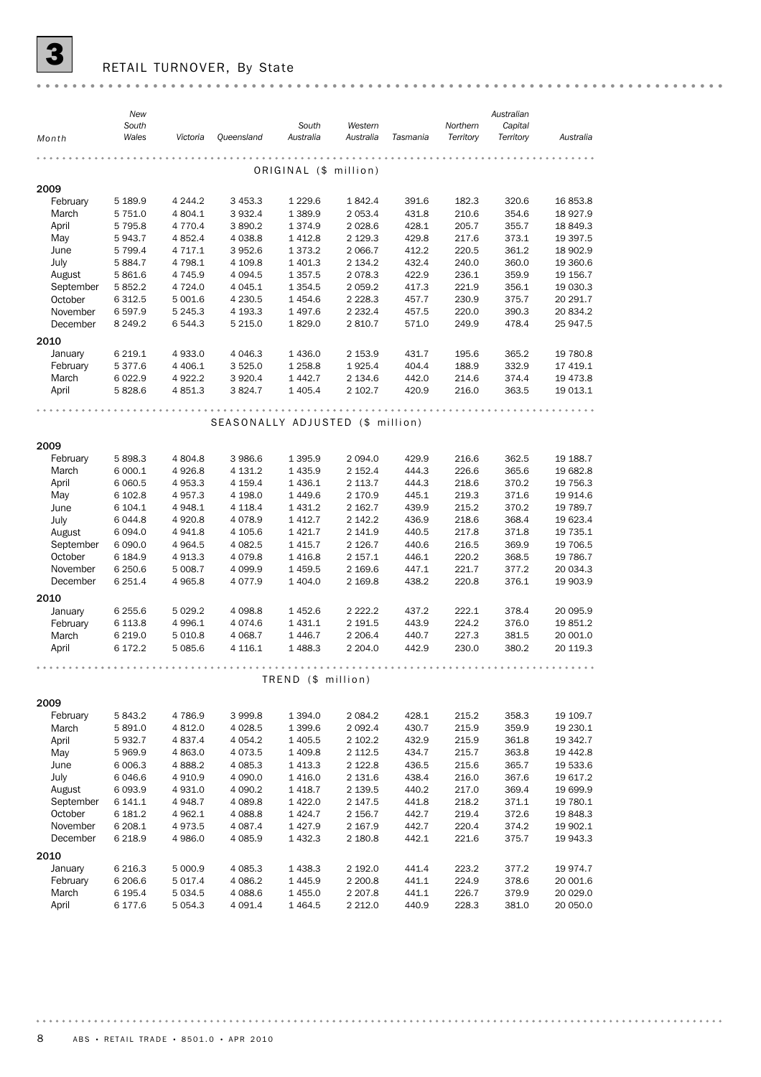

# RETAIL TURNOVER, By State

|           | New         |           |                                  |                       |             |          |           | Australian |           |
|-----------|-------------|-----------|----------------------------------|-----------------------|-------------|----------|-----------|------------|-----------|
|           | South       |           |                                  | South                 | Western     |          | Northern  | Capital    |           |
| Month     | Wales       | Victoria  | <b>Queensland</b>                | Australia             | Australia   | Tasmania | Territory | Territory  | Australia |
|           |             |           |                                  |                       |             |          |           |            |           |
|           |             |           |                                  | ORIGINAL (\$ million) |             |          |           |            |           |
| 2009      |             |           |                                  |                       |             |          |           |            |           |
| February  | 5 189.9     | 4 244.2   | 3 453.3                          | 1 2 2 9.6             | 1842.4      | 391.6    | 182.3     | 320.6      | 16 853.8  |
| March     | 5 7 5 1.0   | 4 804.1   | 3932.4                           | 1 389.9               | 2 0 5 3.4   | 431.8    | 210.6     | 354.6      | 18 9 27.9 |
| April     | 5 7 9 5.8   | 4 770.4   | 3890.2                           | 1374.9                | 2 0 28.6    | 428.1    | 205.7     | 355.7      | 18 849.3  |
| May       | 5943.7      | 4 852.4   | 4 0 38.8                         | 1412.8                | 2 129.3     | 429.8    | 217.6     | 373.1      | 19 397.5  |
| June      | 5 799.4     | 4 717.1   | 3952.6                           | 1 3 7 3 . 2           | 2 0 66.7    | 412.2    | 220.5     | 361.2      | 18 902.9  |
| July      | 5 8 8 4.7   | 4 798.1   | 4 109.8                          | 1 401.3               | 2 1 3 4 . 2 | 432.4    | 240.0     | 360.0      | 19 360.6  |
| August    | 5 861.6     | 4 745.9   | 4 0 9 4.5                        | 1 3 5 7 . 5           | 2078.3      | 422.9    | 236.1     | 359.9      | 19 156.7  |
| September | 5 852.2     | 4 724.0   | 4 0 4 5.1                        | 1 3 5 4 . 5           | 2 0 5 9.2   | 417.3    | 221.9     | 356.1      | 19 030.3  |
| October   | 6 3 1 2.5   | 5 001.6   | 4 2 3 0.5                        | 1454.6                | 2 2 2 8 . 3 | 457.7    | 230.9     | 375.7      | 20 291.7  |
| November  | 6 5 9 7.9   | 5 245.3   | 4 193.3                          | 1497.6                | 2 2 3 2 . 4 | 457.5    | 220.0     | 390.3      | 20 834.2  |
| December  | 8 2 4 9 . 2 | 6 544.3   | 5 2 1 5 .0                       | 1829.0                | 2 8 1 0.7   | 571.0    | 249.9     | 478.4      | 25 947.5  |
|           |             |           |                                  |                       |             |          |           |            |           |
| 2010      |             |           |                                  |                       |             |          |           |            |           |
| January   | 6 2 1 9 . 1 | 4 933.0   | 4 0 4 6.3                        | 1436.0                | 2 153.9     | 431.7    | 195.6     | 365.2      | 19 780.8  |
| February  | 5 377.6     | 4 4 0 6.1 | 3 5 2 5 .0                       | 1 258.8               | 1925.4      | 404.4    | 188.9     | 332.9      | 17 419.1  |
| March     | 6 0 2 2.9   | 4 922.2   | 3 9 2 0.4                        | 1442.7                | 2 134.6     | 442.0    | 214.6     | 374.4      | 19 473.8  |
| April     | 5828.6      | 4851.3    | 3824.7                           | 1 4 0 5.4             | 2 102.7     | 420.9    | 216.0     | 363.5      | 19 013.1  |
|           |             |           |                                  |                       |             |          |           |            |           |
|           |             |           | SEASONALLY ADJUSTED (\$ million) |                       |             |          |           |            |           |
|           |             |           |                                  |                       |             |          |           |            |           |
| 2009      |             |           |                                  |                       |             |          |           |            |           |
| February  | 5 898.3     | 4 804.8   | 3 986.6                          | 1 3 9 5.9             | 2 0 9 4 .0  | 429.9    | 216.6     | 362.5      | 19 188.7  |
| March     | 6 000.1     | 4926.8    | 4 131.2                          | 1435.9                | 2 152.4     | 444.3    | 226.6     | 365.6      | 19 682.8  |
| April     | 6 060.5     | 4 953.3   | 4 159.4                          | 1436.1                | 2 1 1 3 . 7 | 444.3    | 218.6     | 370.2      | 19 756.3  |
| May       | 6 102.8     | 4 957.3   | 4 198.0                          | 1449.6                | 2 170.9     | 445.1    | 219.3     | 371.6      | 19 914.6  |
| June      | 6 104.1     | 4 948.1   | 4 1 18.4                         | 1 4 3 1.2             | 2 162.7     | 439.9    | 215.2     | 370.2      | 19 789.7  |
| July      | 6 0 4 4.8   | 4 9 20.8  | 4 0 78.9                         | 1 4 1 2.7             | 2 142.2     | 436.9    | 218.6     | 368.4      | 19 623.4  |
| August    | 6 0 9 4 .0  | 4941.8    | 4 105.6                          | 1421.7                | 2 141.9     | 440.5    | 217.8     | 371.8      | 19 735.1  |
| September | 6 0 9 0.0   | 4 9 64.5  | 4 082.5                          | 1415.7                | 2 1 2 6.7   | 440.6    | 216.5     | 369.9      | 19 706.5  |
| October   | 6 184.9     | 4 913.3   | 4079.8                           | 1416.8                | 2 157.1     | 446.1    | 220.2     | 368.5      | 19 786.7  |
| November  | 6 250.6     | 5 008.7   | 4 0 9 9.9                        | 1459.5                | 2 169.6     | 447.1    | 221.7     | 377.2      | 20 034.3  |
| December  | 6 251.4     | 4 965.8   | 4 0 7 7 .9                       | 1 404.0               | 2 169.8     | 438.2    | 220.8     | 376.1      | 19 903.9  |
|           |             |           |                                  |                       |             |          |           |            |           |
| 2010      |             |           |                                  |                       |             |          |           |            |           |
| January   | 6 255.6     | 5 0 29.2  | 4 0 98.8                         | 1452.6                | 2 2 2 2 . 2 | 437.2    | 222.1     | 378.4      | 20 095.9  |
| February  | 6 1 1 3.8   | 4 996.1   | 4 0 7 4 .6                       | 1 4 3 1.1             | 2 191.5     | 443.9    | 224.2     | 376.0      | 19 851.2  |
| March     | 6 2 1 9 . 0 | 5 0 1 0.8 | 4 0 68.7                         | 1446.7                | 2 2 0 6.4   | 440.7    | 227.3     | 381.5      | 20 001.0  |
| April     | 6 172.2     | 5 085.6   | 4 116.1                          | 1488.3                | 2 2 0 4 .0  | 442.9    | 230.0     | 380.2      | 20 119.3  |
|           |             |           |                                  |                       |             |          |           |            |           |
|           |             |           |                                  | TREND (\$ million)    |             |          |           |            |           |
|           |             |           |                                  |                       |             |          |           |            |           |
| 2009      |             |           |                                  |                       |             |          |           |            |           |
| February  | 5 843.2     | 4 786.9   | 3 999.8                          | 1 394.0               | 2 0 8 4.2   | 428.1    | 215.2     | 358.3      | 19 109.7  |
| March     | 5 891.0     | 4 812.0   | 4 0 28.5                         | 1 399.6               | 2 092.4     | 430.7    | 215.9     | 359.9      | 19 230.1  |
| April     | 5932.7      | 4 837.4   | 4 0 54.2                         | 1 405.5               | 2 102.2     | 432.9    | 215.9     | 361.8      | 19 342.7  |
| May       | 5969.9      | 4 863.0   | 4 0 7 3 .5                       | 1 409.8               | 2 112.5     | 434.7    | 215.7     | 363.8      | 19 442.8  |
| June      | 6 006.3     | 4 888.2   | 4 085.3                          | 1 413.3               | 2 122.8     | 436.5    | 215.6     | 365.7      | 19 533.6  |
| July      | 6 046.6     | 4 910.9   | 4 090.0                          | 1 416.0               | 2 131.6     | 438.4    | 216.0     | 367.6      | 19 617.2  |
| August    | 6 0 9 3.9   | 4 931.0   | 4 090.2                          | 1 418.7               | 2 139.5     | 440.2    | 217.0     | 369.4      | 19 699.9  |
| September | 6 141.1     | 4 948.7   | 4 0 8 9.8                        | 1 422.0               | 2 147.5     | 441.8    | 218.2     | 371.1      | 19 780.1  |
| October   | 6 181.2     | 4 962.1   | 4 0 88.8                         | 1 424.7               | 2 156.7     | 442.7    | 219.4     | 372.6      | 19 848.3  |
| November  | 6 208.1     | 4973.5    | 4 0 8 7.4                        | 1 427.9               | 2 167.9     | 442.7    | 220.4     | 374.2      | 19 902.1  |
| December  | 6 2 18.9    | 4 986.0   | 4 085.9                          | 1 432.3               | 2 180.8     | 442.1    | 221.6     | 375.7      | 19 943.3  |
| 2010      |             |           |                                  |                       |             |          |           |            |           |
| January   | 6 2 1 6 . 3 | 5 000.9   | 4 085.3                          | 1 438.3               | 2 192.0     | 441.4    | 223.2     | 377.2      | 19 974.7  |
| February  | 6 206.6     | 5 017.4   | 4 086.2                          | 1 445.9               | 2 200.8     | 441.1    | 224.9     | 378.6      | 20 001.6  |
| March     | 6 195.4     | 5 034.5   | 4 088.6                          | 1 455.0               | 2 2 0 7 .8  | 441.1    | 226.7     | 379.9      | 20 029.0  |
| April     | 6 177.6     | 5 054.3   | 4 091.4                          | 1 464.5               | 2 212.0     | 440.9    | 228.3     | 381.0      | 20 050.0  |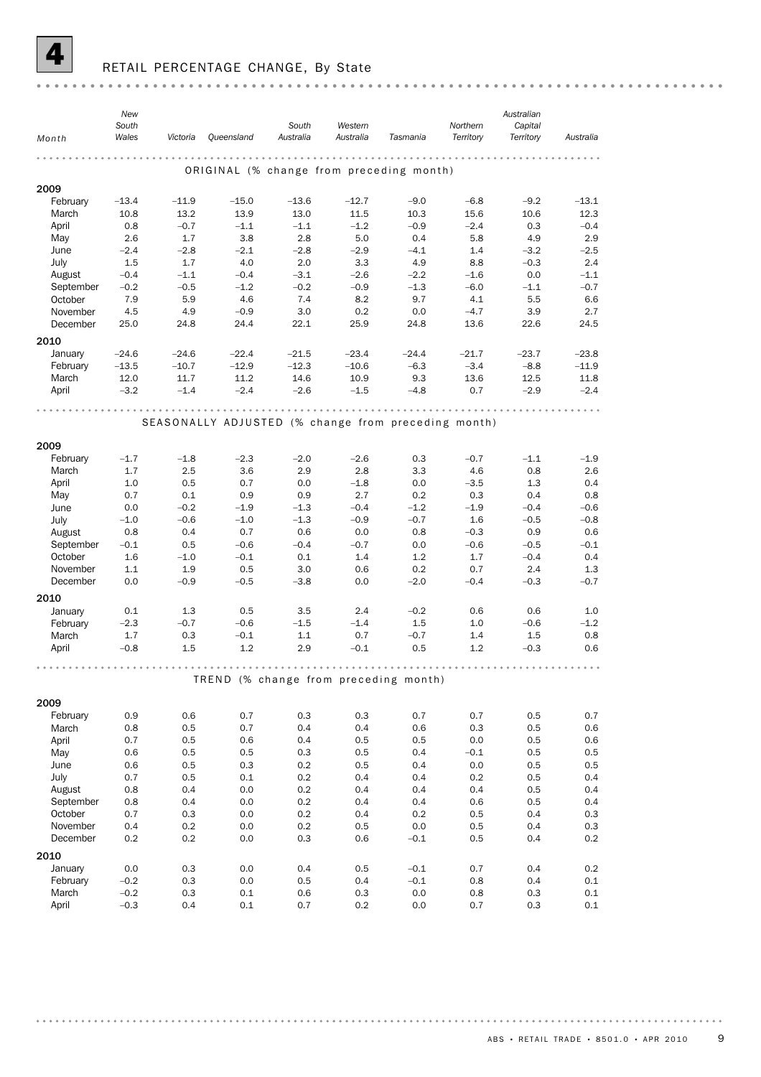

# RETAIL PERCENTAGE CHANGE, By State

|                | New<br>South  |                |                  | South                                               | Western          |                | Northern       | Australian<br>Capital |                  |
|----------------|---------------|----------------|------------------|-----------------------------------------------------|------------------|----------------|----------------|-----------------------|------------------|
| Month          | Wales         | Victoria       | Queensland       | Australia                                           | Australia        | Tasmania       | Territory      | Territory             | Australia        |
|                |               |                |                  |                                                     | .                |                | .              |                       |                  |
|                |               |                |                  | ORIGINAL (% change from preceding month)            |                  |                |                |                       |                  |
| 2009           |               |                |                  |                                                     |                  |                |                |                       |                  |
| February       | $-13.4$       | $-11.9$        | $-15.0$          | $-13.6$                                             | $-12.7$          | $-9.0$         | $-6.8$         | $-9.2$                | $-13.1$          |
| March<br>April | 10.8<br>0.8   | 13.2<br>$-0.7$ | 13.9<br>$-1.1$   | 13.0<br>$-1.1$                                      | 11.5<br>$-1.2$   | 10.3<br>$-0.9$ | 15.6<br>$-2.4$ | 10.6<br>0.3           | 12.3<br>$-0.4$   |
| May            | 2.6           | 1.7            | 3.8              | 2.8                                                 | 5.0              | 0.4            | 5.8            | 4.9                   | 2.9              |
| June           | $-2.4$        | $-2.8$         | $-2.1$           | $-2.8$                                              | $-2.9$           | $-4.1$         | 1.4            | $-3.2$                | $-2.5$           |
| July           | 1.5           | 1.7            | 4.0              | 2.0                                                 | 3.3              | 4.9            | 8.8            | $-0.3$                | 2.4              |
| August         | $-0.4$        | $-1.1$         | $-0.4$           | $-3.1$                                              | $-2.6$           | $-2.2$         | $-1.6$         | 0.0                   | $-1.1$           |
| September      | $-0.2$        | $-0.5$         | $-1.2$           | $-0.2$                                              | $-0.9$           | $-1.3$         | $-6.0$         | $-1.1$                | $-0.7$           |
| October        | 7.9           | 5.9            | 4.6              | 7.4                                                 | 8.2              | 9.7            | 4.1            | 5.5                   | 6.6              |
| November       | 4.5           | 4.9            | $-0.9$           | 3.0                                                 | 0.2              | 0.0            | $-4.7$         | 3.9                   | 2.7              |
| December       | 25.0          | 24.8           | 24.4             | 22.1                                                | 25.9             | 24.8           | 13.6           | 22.6                  | 24.5             |
| 2010           |               |                |                  |                                                     |                  |                |                |                       |                  |
| January        | $-24.6$       | $-24.6$        | $-22.4$          | $-21.5$                                             | $-23.4$          | $-24.4$        | $-21.7$        | $-23.7$               | $-23.8$          |
| February       | $-13.5$       | $-10.7$        | $-12.9$          | $-12.3$                                             | $-10.6$          | $-6.3$         | $-3.4$         | $-8.8$                | $-11.9$          |
| March          | 12.0          | 11.7           | 11.2             | 14.6                                                | 10.9             | 9.3            | 13.6           | 12.5                  | 11.8             |
| April          | $-3.2$        | $-1.4$         | $-2.4$           | $-2.6$                                              | $-1.5$           | $-4.8$         | 0.7            | $-2.9$                | $-2.4$           |
|                |               |                |                  |                                                     |                  |                |                |                       |                  |
|                |               |                |                  | SEASONALLY ADJUSTED (% change from preceding month) |                  |                |                |                       |                  |
|                |               |                |                  |                                                     |                  |                |                |                       |                  |
| 2009           |               |                |                  |                                                     |                  |                |                |                       |                  |
| February       | $-1.7$        | $-1.8$         | $-2.3$           | $-2.0$                                              | $-2.6$           | 0.3            | $-0.7$         | $-1.1$                | $-1.9$           |
| March          | 1.7           | 2.5            | 3.6              | 2.9                                                 | 2.8              | 3.3            | 4.6            | 0.8                   | 2.6              |
| April          | 1.0           | 0.5            | 0.7              | 0.0                                                 | $-1.8$           | 0.0            | $-3.5$         | 1.3                   | 0.4              |
| May            | 0.7           | 0.1            | 0.9              | 0.9                                                 | 2.7              | 0.2            | 0.3            | 0.4                   | 0.8              |
| June           | 0.0<br>$-1.0$ | $-0.2$         | $-1.9$<br>$-1.0$ | $-1.3$<br>$-1.3$                                    | $-0.4$<br>$-0.9$ | $-1.2$         | $-1.9$<br>1.6  | $-0.4$<br>$-0.5$      | $-0.6$<br>$-0.8$ |
| July<br>August | 0.8           | $-0.6$<br>0.4  | 0.7              | 0.6                                                 | 0.0              | $-0.7$<br>0.8  | $-0.3$         | 0.9                   | 0.6              |
| September      | $-0.1$        | 0.5            | $-0.6$           | $-0.4$                                              | $-0.7$           | 0.0            | $-0.6$         | $-0.5$                | $-0.1$           |
| October        | 1.6           | $-1.0$         | $-0.1$           | 0.1                                                 | 1.4              | 1.2            | 1.7            | $-0.4$                | 0.4              |
| November       | 1.1           | 1.9            | 0.5              | 3.0                                                 | 0.6              | 0.2            | 0.7            | 2.4                   | 1.3              |
| December       | 0.0           | $-0.9$         | $-0.5$           | $-3.8$                                              | 0.0              | $-2.0$         | $-0.4$         | $-0.3$                | $-0.7$           |
| 2010           |               |                |                  |                                                     |                  |                |                |                       |                  |
| January        | 0.1           | 1.3            | 0.5              | 3.5                                                 | 2.4              | $-0.2$         | 0.6            | 0.6                   | 1.0              |
| February       | $-2.3$        | $-0.7$         | $-0.6$           | $-1.5$                                              | $-1.4$           | 1.5            | 1.0            | $-0.6$                | $-1.2$           |
| March          | 1.7           | 0.3            | $-0.1$           | 1.1                                                 | 0.7              | $-0.7$         | 1.4            | 1.5                   | 0.8              |
| April          | $-0.8$        | 1.5            | 1.2              | 2.9                                                 | $-0.1$           | 0.5            | 1.2            | $-0.3$                | 0.6              |
|                |               |                |                  |                                                     |                  |                |                |                       |                  |
|                |               |                |                  | TREND (% change from preceding month)               |                  |                |                |                       |                  |
|                |               |                |                  |                                                     |                  |                |                |                       |                  |
| 2009           |               |                |                  |                                                     |                  |                |                |                       |                  |
| February       | 0.9           | 0.6            | 0.7              | 0.3                                                 | 0.3              | 0.7            | 0.7            | 0.5                   | 0.7              |
| March          | 0.8           | 0.5            | 0.7              | 0.4                                                 | 0.4              | 0.6            | 0.3            | 0.5                   | 0.6              |
| April          | 0.7           | 0.5            | 0.6              | 0.4                                                 | 0.5              | 0.5            | 0.0            | 0.5                   | 0.6              |
| May            | 0.6           | 0.5            | 0.5              | 0.3                                                 | 0.5              | 0.4            | $-0.1$         | 0.5                   | 0.5              |
| June           | 0.6           | 0.5            | 0.3              | 0.2                                                 | 0.5              | 0.4            | $0.0\,$        | 0.5                   | 0.5              |
| July<br>August | 0.7<br>0.8    | 0.5<br>0.4     | 0.1<br>0.0       | 0.2<br>0.2                                          | 0.4<br>0.4       | 0.4<br>0.4     | 0.2<br>0.4     | 0.5<br>0.5            | 0.4<br>0.4       |
| September      | 0.8           | 0.4            | 0.0              | 0.2                                                 | 0.4              | 0.4            | 0.6            | 0.5                   | 0.4              |
| October        | 0.7           | 0.3            | 0.0              | 0.2                                                 | 0.4              | 0.2            | 0.5            | 0.4                   | 0.3              |
| November       | 0.4           | 0.2            | 0.0              | 0.2                                                 | 0.5              | 0.0            | 0.5            | 0.4                   | 0.3              |
| December       | 0.2           | 0.2            | 0.0              | 0.3                                                 | 0.6              | $-0.1$         | 0.5            | 0.4                   | 0.2              |
| 2010           |               |                |                  |                                                     |                  |                |                |                       |                  |
| January        | 0.0           | 0.3            | 0.0              | 0.4                                                 | 0.5              | $-0.1$         | 0.7            | 0.4                   | 0.2              |
| February       | $-0.2$        | 0.3            | 0.0              | 0.5                                                 | 0.4              | $-0.1$         | 0.8            | 0.4                   | 0.1              |
| March          | $-0.2$        | 0.3            | 0.1              | 0.6                                                 | 0.3              | 0.0            | 0.8            | 0.3                   | 0.1              |
| April          | $-0.3$        | 0.4            | 0.1              | 0.7                                                 | 0.2              | 0.0            | 0.7            | 0.3                   | 0.1              |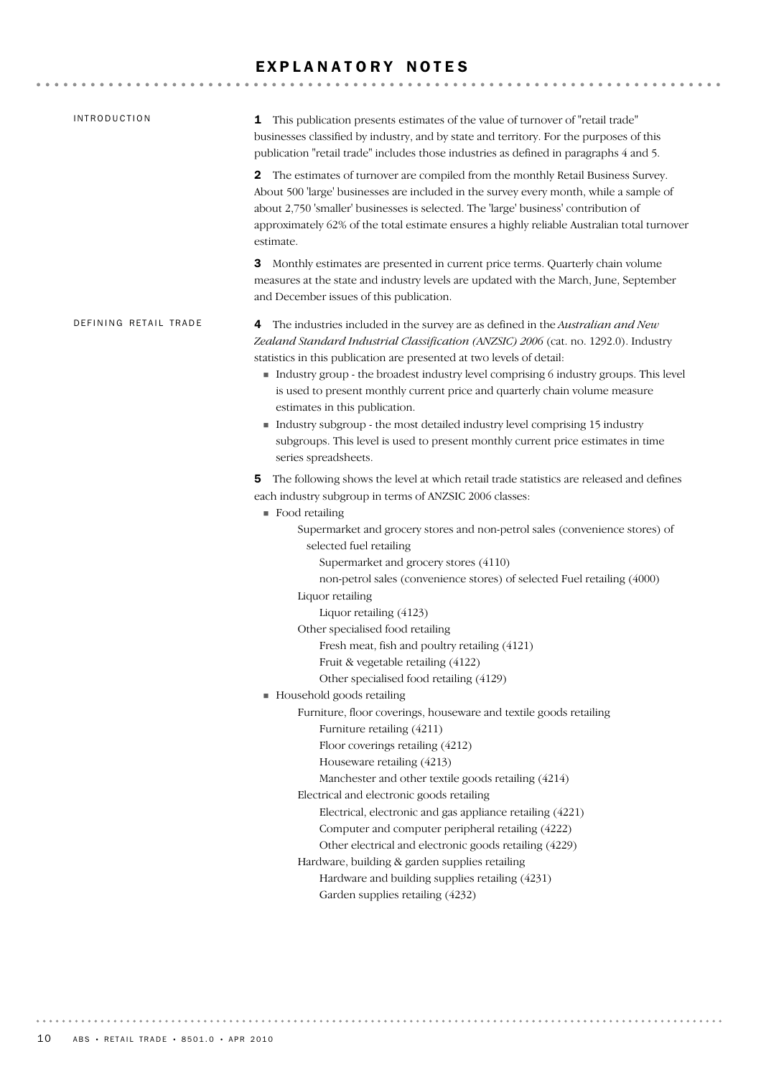#### EXPLANATORY NOTES

| <b>INTRODUCTION</b>   | 1 This publication presents estimates of the value of turnover of "retail trade"<br>businesses classified by industry, and by state and territory. For the purposes of this<br>publication "retail trade" includes those industries as defined in paragraphs 4 and 5.                                                                                                                                                                                                                                                                                                                                                                                                                                                                                                                                                                                                                                                                                                                                                                                                                                                                                                           |
|-----------------------|---------------------------------------------------------------------------------------------------------------------------------------------------------------------------------------------------------------------------------------------------------------------------------------------------------------------------------------------------------------------------------------------------------------------------------------------------------------------------------------------------------------------------------------------------------------------------------------------------------------------------------------------------------------------------------------------------------------------------------------------------------------------------------------------------------------------------------------------------------------------------------------------------------------------------------------------------------------------------------------------------------------------------------------------------------------------------------------------------------------------------------------------------------------------------------|
|                       | The estimates of turnover are compiled from the monthly Retail Business Survey.<br>2<br>About 500 'large' businesses are included in the survey every month, while a sample of<br>about 2,750 'smaller' businesses is selected. The 'large' business' contribution of<br>approximately 62% of the total estimate ensures a highly reliable Australian total turnover<br>estimate.                                                                                                                                                                                                                                                                                                                                                                                                                                                                                                                                                                                                                                                                                                                                                                                               |
|                       | Monthly estimates are presented in current price terms. Quarterly chain volume<br>З<br>measures at the state and industry levels are updated with the March, June, September<br>and December issues of this publication.                                                                                                                                                                                                                                                                                                                                                                                                                                                                                                                                                                                                                                                                                                                                                                                                                                                                                                                                                        |
| DEFINING RETAIL TRADE | The industries included in the survey are as defined in the Australian and New<br>4<br>Zealand Standard Industrial Classification (ANZSIC) 2006 (cat. no. 1292.0). Industry<br>statistics in this publication are presented at two levels of detail:<br>Industry group - the broadest industry level comprising 6 industry groups. This level<br>is used to present monthly current price and quarterly chain volume measure<br>estimates in this publication.<br>Industry subgroup - the most detailed industry level comprising 15 industry<br>subgroups. This level is used to present monthly current price estimates in time<br>series spreadsheets.                                                                                                                                                                                                                                                                                                                                                                                                                                                                                                                       |
|                       | The following shows the level at which retail trade statistics are released and defines<br>5<br>each industry subgroup in terms of ANZSIC 2006 classes:<br>$\blacksquare$ Food retailing<br>Supermarket and grocery stores and non-petrol sales (convenience stores) of<br>selected fuel retailing<br>Supermarket and grocery stores (4110)<br>non-petrol sales (convenience stores) of selected Fuel retailing (4000)<br>Liquor retailing<br>Liquor retailing (4123)<br>Other specialised food retailing<br>Fresh meat, fish and poultry retailing (4121)<br>Fruit & vegetable retailing (4122)<br>Other specialised food retailing (4129)<br>Household goods retailing<br>Furniture, floor coverings, houseware and textile goods retailing<br>Furniture retailing (4211)<br>Floor coverings retailing (4212)<br>Houseware retailing (4213)<br>Manchester and other textile goods retailing (4214)<br>Electrical and electronic goods retailing<br>Electrical, electronic and gas appliance retailing (4221)<br>Computer and computer peripheral retailing (4222)<br>Other electrical and electronic goods retailing (4229)<br>Hardware, building & garden supplies retailing |
|                       | Hardware and building supplies retailing (4231)<br>Garden supplies retailing (4232)                                                                                                                                                                                                                                                                                                                                                                                                                                                                                                                                                                                                                                                                                                                                                                                                                                                                                                                                                                                                                                                                                             |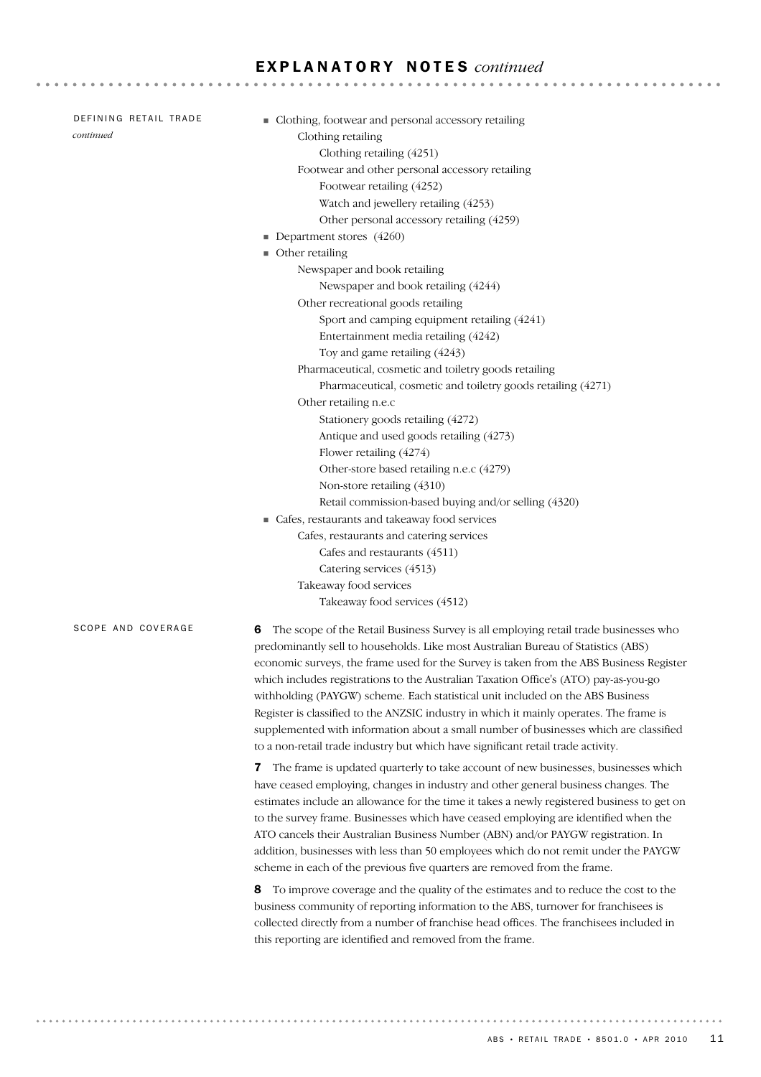| DEFINING RETAIL TRADE | • Clothing, footwear and personal accessory retailing                                      |
|-----------------------|--------------------------------------------------------------------------------------------|
| continued             | Clothing retailing                                                                         |
|                       | Clothing retailing (4251)                                                                  |
|                       | Footwear and other personal accessory retailing                                            |
|                       | Footwear retailing (4252)                                                                  |
|                       | Watch and jewellery retailing (4253)                                                       |
|                       | Other personal accessory retailing (4259)                                                  |
|                       | Department stores $(4260)$                                                                 |
|                       | • Other retailing                                                                          |
|                       | Newspaper and book retailing                                                               |
|                       | Newspaper and book retailing (4244)                                                        |
|                       | Other recreational goods retailing                                                         |
|                       | Sport and camping equipment retailing (4241)                                               |
|                       | Entertainment media retailing (4242)                                                       |
|                       | Toy and game retailing (4243)                                                              |
|                       | Pharmaceutical, cosmetic and toiletry goods retailing                                      |
|                       | Pharmaceutical, cosmetic and toiletry goods retailing (4271)                               |
|                       | Other retailing n.e.c                                                                      |
|                       | Stationery goods retailing (4272)                                                          |
|                       | Antique and used goods retailing (4273)                                                    |
|                       | Flower retailing (4274)                                                                    |
|                       | Other-store based retailing n.e.c (4279)                                                   |
|                       | Non-store retailing (4310)                                                                 |
|                       | Retail commission-based buying and/or selling (4320)                                       |
|                       | • Cafes, restaurants and takeaway food services                                            |
|                       | Cafes, restaurants and catering services                                                   |
|                       | Cafes and restaurants (4511)                                                               |
|                       | Catering services (4513)                                                                   |
|                       | Takeaway food services                                                                     |
|                       | Takeaway food services (4512)                                                              |
| SCOPE AND COVERAGE    | The scope of the Retail Business Survey is all employing retail trade businesses who<br>6  |
|                       | predominantly sell to households. Like most Australian Bureau of Statistics (ABS)          |
|                       | economic surveys, the frame used for the Survey is taken from the ABS Business Register    |
|                       | which includes registrations to the Australian Taxation Office's (ATO) pay-as-you-go       |
|                       | withholding (PAYGW) scheme. Each statistical unit included on the ABS Business             |
|                       | Register is classified to the ANZSIC industry in which it mainly operates. The frame is    |
|                       | supplemented with information about a small number of businesses which are classified      |
|                       | to a non-retail trade industry but which have significant retail trade activity.           |
|                       | <b>7</b> The frame is undated quarterly to take account of new businesses businesses which |

is updated quarterly to take account of new businesses, bu have ceased employing, changes in industry and other general business changes. The estimates include an allowance for the time it takes a newly registered business to get on to the survey frame. Businesses which have ceased employing are identified when the ATO cancels their Australian Business Number (ABN) and/or PAYGW registration. In addition, businesses with less than 50 employees which do not remit under the PAYGW scheme in each of the previous five quarters are removed from the frame.

8 To improve coverage and the quality of the estimates and to reduce the cost to the business community of reporting information to the ABS, turnover for franchisees is collected directly from a number of franchise head offices. The franchisees included in this reporting are identified and removed from the frame.

**\*\*\*\*\*\*\*\*\*\*\*\*\*\*\*\*\*\*\*\***\*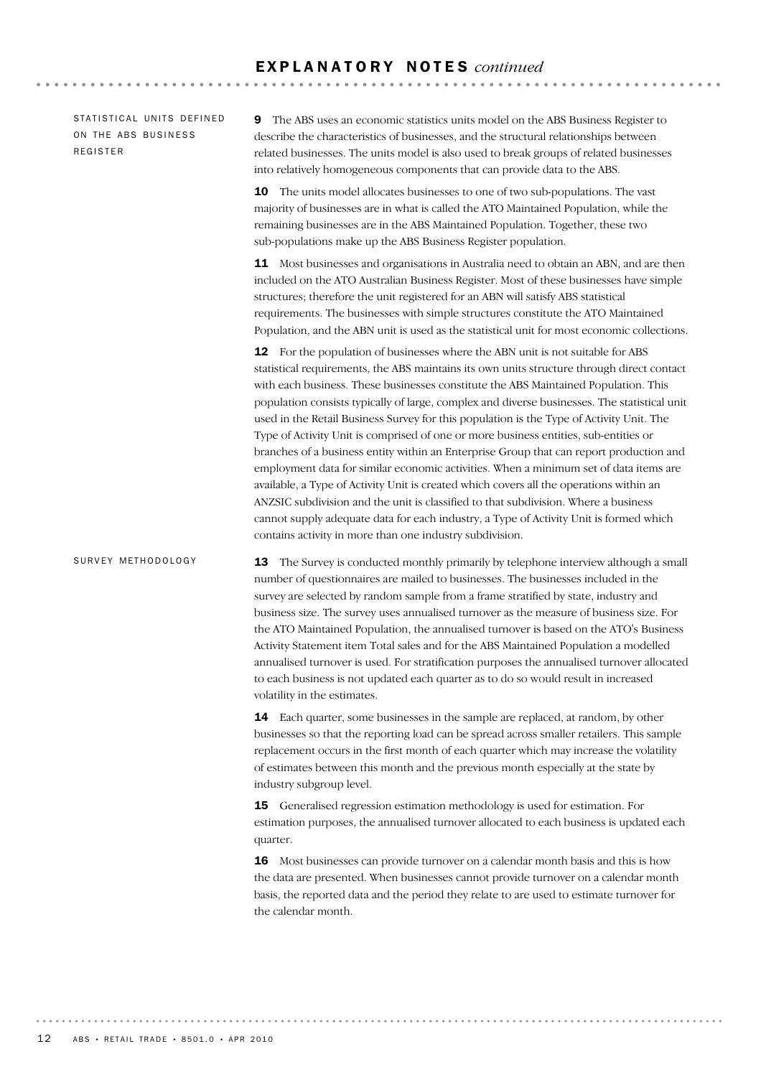STATISTICAL UNITS DEFINED ON THE ABS BUSINESS REGISTER

9 The ABS uses an economic statistics units model on the ABS Business Register to describe the characteristics of businesses, and the structural relationships between related businesses. The units model is also used to break groups of related businesses into relatively homogeneous components that can provide data to the ABS.

**10** The units model allocates businesses to one of two sub-populations. The vast majority of businesses are in what is called the ATO Maintained Population, while the remaining businesses are in the ABS Maintained Population. Together, these two sub-populations make up the ABS Business Register population.

11 Most businesses and organisations in Australia need to obtain an ABN, and are then included on the ATO Australian Business Register. Most of these businesses have simple structures; therefore the unit registered for an ABN will satisfy ABS statistical requirements. The businesses with simple structures constitute the ATO Maintained Population, and the ABN unit is used as the statistical unit for most economic collections.

**12** For the population of businesses where the ABN unit is not suitable for ABS statistical requirements, the ABS maintains its own units structure through direct contact with each business. These businesses constitute the ABS Maintained Population. This population consists typically of large, complex and diverse businesses. The statistical unit used in the Retail Business Survey for this population is the Type of Activity Unit. The Type of Activity Unit is comprised of one or more business entities, sub-entities or branches of a business entity within an Enterprise Group that can report production and employment data for similar economic activities. When a minimum set of data items are available, a Type of Activity Unit is created which covers all the operations within an ANZSIC subdivision and the unit is classified to that subdivision. Where a business cannot supply adequate data for each industry, a Type of Activity Unit is formed which contains activity in more than one industry subdivision.

13 The Survey is conducted monthly primarily by telephone interview although a small number of questionnaires are mailed to businesses. The businesses included in the survey are selected by random sample from a frame stratified by state, industry and business size. The survey uses annualised turnover as the measure of business size. For the ATO Maintained Population, the annualised turnover is based on the ATO's Business Activity Statement item Total sales and for the ABS Maintained Population a modelled annualised turnover is used. For stratification purposes the annualised turnover allocated to each business is not updated each quarter as to do so would result in increased volatility in the estimates. SURVEY METHODOLOGY

> 14 Each quarter, some businesses in the sample are replaced, at random, by other businesses so that the reporting load can be spread across smaller retailers. This sample replacement occurs in the first month of each quarter which may increase the volatility of estimates between this month and the previous month especially at the state by industry subgroup level.

> 15 Generalised regression estimation methodology is used for estimation. For estimation purposes, the annualised turnover allocated to each business is updated each quarter.

16 Most businesses can provide turnover on a calendar month basis and this is how the data are presented. When businesses cannot provide turnover on a calendar month basis, the reported data and the period they relate to are used to estimate turnover for the calendar month.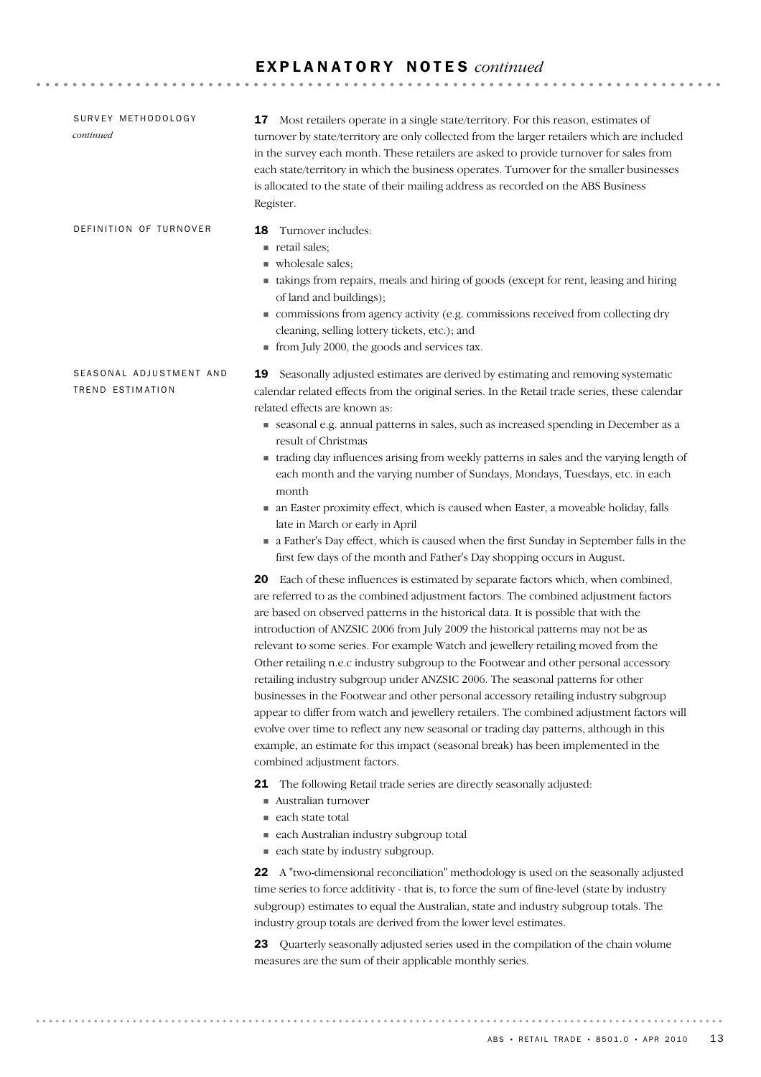| SURVEY METHODOLOGY<br>continued             | 17 Most retailers operate in a single state/territory. For this reason, estimates of<br>turnover by state/territory are only collected from the larger retailers which are included<br>in the survey each month. These retailers are asked to provide turnover for sales from<br>each state/territory in which the business operates. Turnover for the smaller businesses<br>is allocated to the state of their mailing address as recorded on the ABS Business<br>Register.                                                                                                                                                                                                                                                                                                                                                                                                                                                                                                                                                                                                                                                                                                                                                                                                                                                                                                                                                                                                                                                                                                                                                                                                                                                                                                                                                                                                                                                                                                                                                                                                                                                                                                                                                                                                                                                                                                                                                                                                                                                                                      |
|---------------------------------------------|-------------------------------------------------------------------------------------------------------------------------------------------------------------------------------------------------------------------------------------------------------------------------------------------------------------------------------------------------------------------------------------------------------------------------------------------------------------------------------------------------------------------------------------------------------------------------------------------------------------------------------------------------------------------------------------------------------------------------------------------------------------------------------------------------------------------------------------------------------------------------------------------------------------------------------------------------------------------------------------------------------------------------------------------------------------------------------------------------------------------------------------------------------------------------------------------------------------------------------------------------------------------------------------------------------------------------------------------------------------------------------------------------------------------------------------------------------------------------------------------------------------------------------------------------------------------------------------------------------------------------------------------------------------------------------------------------------------------------------------------------------------------------------------------------------------------------------------------------------------------------------------------------------------------------------------------------------------------------------------------------------------------------------------------------------------------------------------------------------------------------------------------------------------------------------------------------------------------------------------------------------------------------------------------------------------------------------------------------------------------------------------------------------------------------------------------------------------------------------------------------------------------------------------------------------------------|
| DEFINITION OF TURNOVER                      | Turnover includes:<br>18<br>retail sales;<br>wholesale sales;<br>• takings from repairs, meals and hiring of goods (except for rent, leasing and hiring<br>of land and buildings);<br>commissions from agency activity (e.g. commissions received from collecting dry<br>cleaning, selling lottery tickets, etc.); and<br>from July 2000, the goods and services tax.                                                                                                                                                                                                                                                                                                                                                                                                                                                                                                                                                                                                                                                                                                                                                                                                                                                                                                                                                                                                                                                                                                                                                                                                                                                                                                                                                                                                                                                                                                                                                                                                                                                                                                                                                                                                                                                                                                                                                                                                                                                                                                                                                                                             |
| SEASONAL ADJUSTMENT AND<br>TREND ESTIMATION | Seasonally adjusted estimates are derived by estimating and removing systematic<br>19<br>calendar related effects from the original series. In the Retail trade series, these calendar<br>related effects are known as:<br>seasonal e.g. annual patterns in sales, such as increased spending in December as a<br>result of Christmas<br>• trading day influences arising from weekly patterns in sales and the varying length of<br>each month and the varying number of Sundays, Mondays, Tuesdays, etc. in each<br>month<br>• an Easter proximity effect, which is caused when Easter, a moveable holiday, falls<br>late in March or early in April<br>a Father's Day effect, which is caused when the first Sunday in September falls in the<br>first few days of the month and Father's Day shopping occurs in August.<br>20 Each of these influences is estimated by separate factors which, when combined,<br>are referred to as the combined adjustment factors. The combined adjustment factors<br>are based on observed patterns in the historical data. It is possible that with the<br>introduction of ANZSIC 2006 from July 2009 the historical patterns may not be as<br>relevant to some series. For example Watch and jewellery retailing moved from the<br>Other retailing n.e.c industry subgroup to the Footwear and other personal accessory<br>retailing industry subgroup under ANZSIC 2006. The seasonal patterns for other<br>businesses in the Footwear and other personal accessory retailing industry subgroup<br>appear to differ from watch and jewellery retailers. The combined adjustment factors will<br>evolve over time to reflect any new seasonal or trading day patterns, although in this<br>example, an estimate for this impact (seasonal break) has been implemented in the<br>combined adjustment factors.<br>21 The following Retail trade series are directly seasonally adjusted:<br>Australian turnover<br>each state total<br>each Australian industry subgroup total<br>each state by industry subgroup.<br>22 A "two-dimensional reconciliation" methodology is used on the seasonally adjusted<br>time series to force additivity - that is, to force the sum of fine-level (state by industry<br>subgroup) estimates to equal the Australian, state and industry subgroup totals. The<br>industry group totals are derived from the lower level estimates.<br>23 Quarterly seasonally adjusted series used in the compilation of the chain volume<br>measures are the sum of their applicable monthly series. |
|                                             |                                                                                                                                                                                                                                                                                                                                                                                                                                                                                                                                                                                                                                                                                                                                                                                                                                                                                                                                                                                                                                                                                                                                                                                                                                                                                                                                                                                                                                                                                                                                                                                                                                                                                                                                                                                                                                                                                                                                                                                                                                                                                                                                                                                                                                                                                                                                                                                                                                                                                                                                                                   |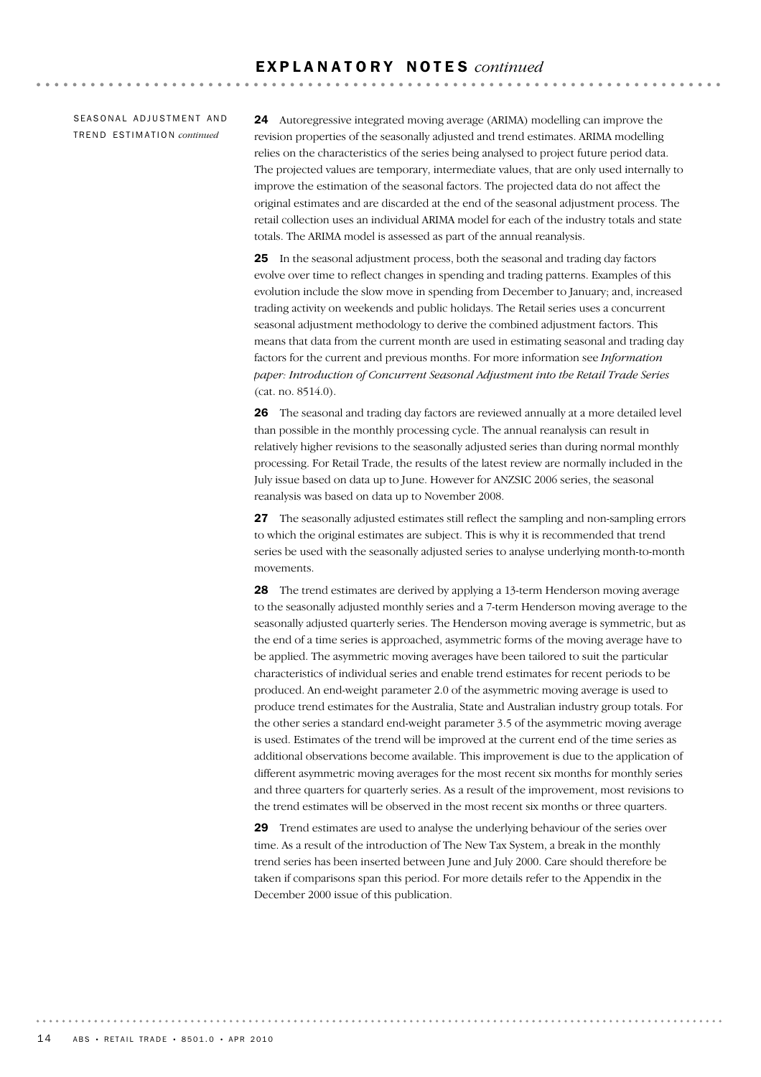SEASONAL ADJUSTMENT AND TR E N D ES T I M A T I O N *continued*

24 Autoregressive integrated moving average (ARIMA) modelling can improve the revision properties of the seasonally adjusted and trend estimates. ARIMA modelling relies on the characteristics of the series being analysed to project future period data. The projected values are temporary, intermediate values, that are only used internally to improve the estimation of the seasonal factors. The projected data do not affect the original estimates and are discarded at the end of the seasonal adjustment process. The retail collection uses an individual ARIMA model for each of the industry totals and state totals. The ARIMA model is assessed as part of the annual reanalysis.

**AAAAAAAAAA** 

25 In the seasonal adjustment process, both the seasonal and trading day factors evolve over time to reflect changes in spending and trading patterns. Examples of this evolution include the slow move in spending from December to January; and, increased trading activity on weekends and public holidays. The Retail series uses a concurrent seasonal adjustment methodology to derive the combined adjustment factors. This means that data from the current month are used in estimating seasonal and trading day factors for the current and previous months. For more information see *Information paper: Introduction of Concurrent Seasonal Adjustment into the Retail Trade Series* (cat. no. 8514.0).

26 The seasonal and trading day factors are reviewed annually at a more detailed level than possible in the monthly processing cycle. The annual reanalysis can result in relatively higher revisions to the seasonally adjusted series than during normal monthly processing. For Retail Trade, the results of the latest review are normally included in the July issue based on data up to June. However for ANZSIC 2006 series, the seasonal reanalysis was based on data up to November 2008.

27 The seasonally adjusted estimates still reflect the sampling and non-sampling errors to which the original estimates are subject. This is why it is recommended that trend series be used with the seasonally adjusted series to analyse underlying month-to-month movements.

28 The trend estimates are derived by applying a 13-term Henderson moving average to the seasonally adjusted monthly series and a 7-term Henderson moving average to the seasonally adjusted quarterly series. The Henderson moving average is symmetric, but as the end of a time series is approached, asymmetric forms of the moving average have to be applied. The asymmetric moving averages have been tailored to suit the particular characteristics of individual series and enable trend estimates for recent periods to be produced. An end-weight parameter 2.0 of the asymmetric moving average is used to produce trend estimates for the Australia, State and Australian industry group totals. For the other series a standard end-weight parameter 3.5 of the asymmetric moving average is used. Estimates of the trend will be improved at the current end of the time series as additional observations become available. This improvement is due to the application of different asymmetric moving averages for the most recent six months for monthly series and three quarters for quarterly series. As a result of the improvement, most revisions to the trend estimates will be observed in the most recent six months or three quarters.

29 Trend estimates are used to analyse the underlying behaviour of the series over time. As a result of the introduction of The New Tax System, a break in the monthly trend series has been inserted between June and July 2000. Care should therefore be taken if comparisons span this period. For more details refer to the Appendix in the December 2000 issue of this publication.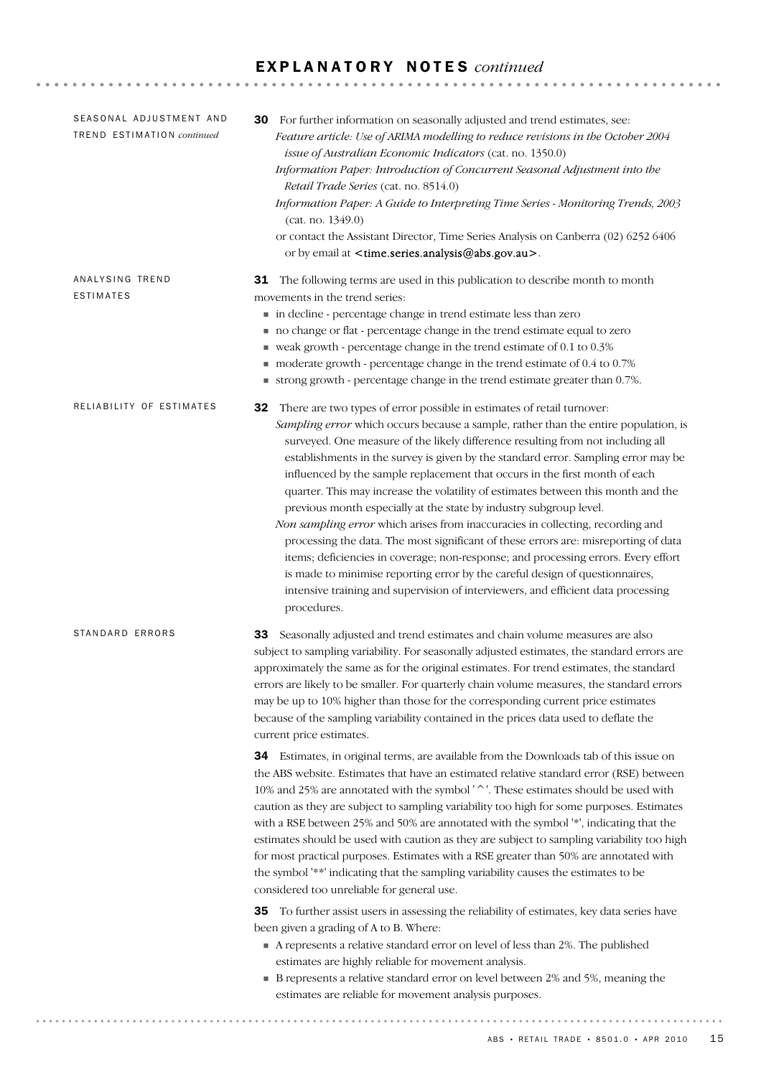| SEASONAL ADJUSTMENT AND<br>TREND ESTIMATION continued | For further information on seasonally adjusted and trend estimates, see:<br>30<br>Feature article: Use of ARIMA modelling to reduce revisions in the October 2004<br>issue of Australian Economic Indicators (cat. no. 1350.0)<br>Information Paper: Introduction of Concurrent Seasonal Adjustment into the<br>Retail Trade Series (cat. no. 8514.0)<br>Information Paper: A Guide to Interpreting Time Series - Monitoring Trends, 2003<br>(cat. no. 1349.0)<br>or contact the Assistant Director, Time Series Analysis on Canberra (02) 6252 6406<br>or by email at <time.series.analysis@abs.gov.au>.</time.series.analysis@abs.gov.au>                                                                                                                                                                                                                                                                                                                                                                                               |
|-------------------------------------------------------|-------------------------------------------------------------------------------------------------------------------------------------------------------------------------------------------------------------------------------------------------------------------------------------------------------------------------------------------------------------------------------------------------------------------------------------------------------------------------------------------------------------------------------------------------------------------------------------------------------------------------------------------------------------------------------------------------------------------------------------------------------------------------------------------------------------------------------------------------------------------------------------------------------------------------------------------------------------------------------------------------------------------------------------------|
| ANALYSING TREND<br>ESTIMATES                          | 31 The following terms are used in this publication to describe month to month<br>movements in the trend series:<br>in decline - percentage change in trend estimate less than zero<br>no change or flat - percentage change in the trend estimate equal to zero<br>■ weak growth - percentage change in the trend estimate of 0.1 to 0.3%<br>moderate growth - percentage change in the trend estimate of 0.4 to 0.7%<br>■ strong growth - percentage change in the trend estimate greater than 0.7%.                                                                                                                                                                                                                                                                                                                                                                                                                                                                                                                                    |
| RELIABILITY OF ESTIMATES                              | There are two types of error possible in estimates of retail turnover:<br>32<br>Sampling error which occurs because a sample, rather than the entire population, is<br>surveyed. One measure of the likely difference resulting from not including all<br>establishments in the survey is given by the standard error. Sampling error may be<br>influenced by the sample replacement that occurs in the first month of each<br>quarter. This may increase the volatility of estimates between this month and the<br>previous month especially at the state by industry subgroup level.<br>Non sampling error which arises from inaccuracies in collecting, recording and<br>processing the data. The most significant of these errors are: misreporting of data<br>items; deficiencies in coverage; non-response; and processing errors. Every effort<br>is made to minimise reporting error by the careful design of questionnaires,<br>intensive training and supervision of interviewers, and efficient data processing<br>procedures. |
| STANDARD ERRORS                                       | Seasonally adjusted and trend estimates and chain volume measures are also<br>33<br>subject to sampling variability. For seasonally adjusted estimates, the standard errors are<br>approximately the same as for the original estimates. For trend estimates, the standard<br>errors are likely to be smaller. For quarterly chain volume measures, the standard errors<br>may be up to 10% higher than those for the corresponding current price estimates<br>because of the sampling variability contained in the prices data used to deflate the<br>current price estimates.                                                                                                                                                                                                                                                                                                                                                                                                                                                           |
|                                                       | 34 Estimates, in original terms, are available from the Downloads tab of this issue on<br>the ABS website. Estimates that have an estimated relative standard error (RSE) between<br>10% and 25% are annotated with the symbol '^'. These estimates should be used with<br>caution as they are subject to sampling variability too high for some purposes. Estimates<br>with a RSE between 25% and 50% are annotated with the symbol '*', indicating that the<br>estimates should be used with caution as they are subject to sampling variability too high<br>for most practical purposes. Estimates with a RSE greater than 50% are annotated with<br>the symbol '**' indicating that the sampling variability causes the estimates to be<br>considered too unreliable for general use.                                                                                                                                                                                                                                                 |
|                                                       | 35 To further assist users in assessing the reliability of estimates, key data series have<br>been given a grading of A to B. Where:<br>A represents a relative standard error on level of less than 2%. The published<br>estimates are highly reliable for movement analysis.<br>• B represents a relative standard error on level between 2% and 5%, meaning the<br>estimates are reliable for movement analysis purposes.                                                                                                                                                                                                                                                                                                                                                                                                                                                                                                                                                                                                              |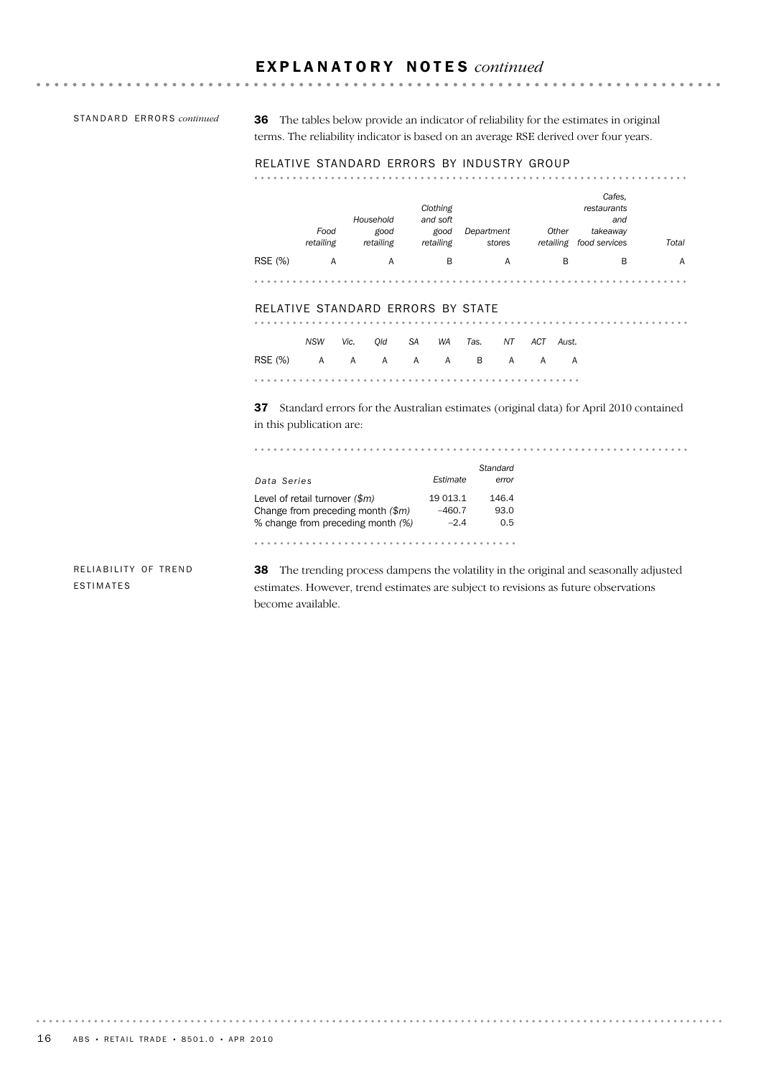STANDARD ERRORS *continued* 

. . . . . . . . . . . . . . . . . . .

36 The tables below provide an indicator of reliability for the estimates in original terms. The reliability indicator is based on an average RSE derived over four years.

#### RELATIVE STANDARD ERRORS BY INDUSTRY GROUP

|                | Food<br>retailing | Household<br>good<br>retailing | Clothing<br>and soft<br>good<br>retailing | Department<br>stores | Other<br>retailing | Cafes,<br>restaurants<br>and<br>takeaway<br>food services | Total |
|----------------|-------------------|--------------------------------|-------------------------------------------|----------------------|--------------------|-----------------------------------------------------------|-------|
| <b>RSE</b> (%) | А                 | А                              | B                                         | А                    | B                  | B                                                         | A     |
|                |                   |                                |                                           |                      |                    |                                                           |       |

. . . . . . . . . . . . . . . .

. . . . . . . . .

#### RELATIVE STANDARD ERRORS BY STATE

|                           | NSW Vic. Old SA WA Tas. NT ACT Aust. |  |  |  |  |
|---------------------------|--------------------------------------|--|--|--|--|
| RSE (%) A A A A A B A A A |                                      |  |  |  |  |
|                           |                                      |  |  |  |  |

37 Standard errors for the Australian estimates (original data) for April 2010 contained in this publication are:

| Data Series                                                                                                  | Estimate                       | Standard<br>error    |
|--------------------------------------------------------------------------------------------------------------|--------------------------------|----------------------|
| Level of retail turnover $(\$m)$<br>Change from preceding month $(\$m)$<br>% change from preceding month (%) | 19 013.1<br>$-460.7$<br>$-2.4$ | 146.4<br>93.0<br>0.5 |
|                                                                                                              |                                |                      |

RELIABILITY OF TREND ESTIMATES

38 The trending process dampens the volatility in the original and seasonally adjusted estimates. However, trend estimates are subject to revisions as future observations become available.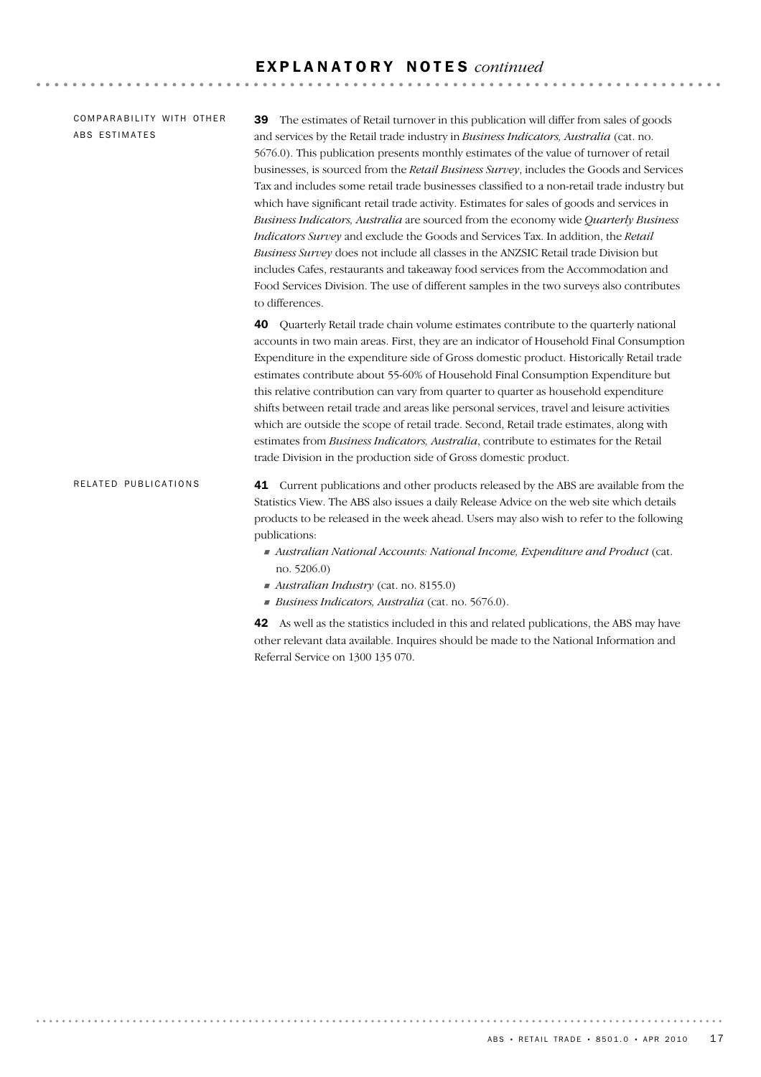COMPARABILITY WITH OTHER ABS ESTIMATES

39 The estimates of Retail turnover in this publication will differ from sales of goods and services by the Retail trade industry in *Business Indicators, Australia* (cat. no. 5676.0). This publication presents monthly estimates of the value of turnover of retail businesses, is sourced from the *Retail Business Survey*, includes the Goods and Services Tax and includes some retail trade businesses classified to a non-retail trade industry but which have significant retail trade activity. Estimates for sales of goods and services in *Business Indicators, Australia* are sourced from the economy wide *Quarterly Business Indicators Survey* and exclude the Goods and Services Tax. In addition, the *Retail Business Survey* does not include all classes in the ANZSIC Retail trade Division but includes Cafes, restaurants and takeaway food services from the Accommodation and Food Services Division. The use of different samples in the two surveys also contributes to differences.

40 Quarterly Retail trade chain volume estimates contribute to the quarterly national accounts in two main areas. First, they are an indicator of Household Final Consumption Expenditure in the expenditure side of Gross domestic product. Historically Retail trade estimates contribute about 55-60% of Household Final Consumption Expenditure but this relative contribution can vary from quarter to quarter as household expenditure shifts between retail trade and areas like personal services, travel and leisure activities which are outside the scope of retail trade. Second, Retail trade estimates, along with estimates from *Business Indicators, Australia*, contribute to estimates for the Retail trade Division in the production side of Gross domestic product.

#### 41 Current publications and other products released by the ABS are available from the Statistics View. The ABS also issues a daily Release Advice on the web site which details products to be released in the week ahead. Users may also wish to refer to the following publications: RELATED PUBLICATIONS

- ! *Australian National Accounts: National Income, Expenditure and Product* (cat. no. 5206.0)
- ! *Australian Industry* (cat. no. 8155.0)
- ! *Business Indicators, Australia* (cat. no. 5676.0).

42 As well as the statistics included in this and related publications, the ABS may have other relevant data available. Inquires should be made to the National Information and Referral Service on 1300 135 070.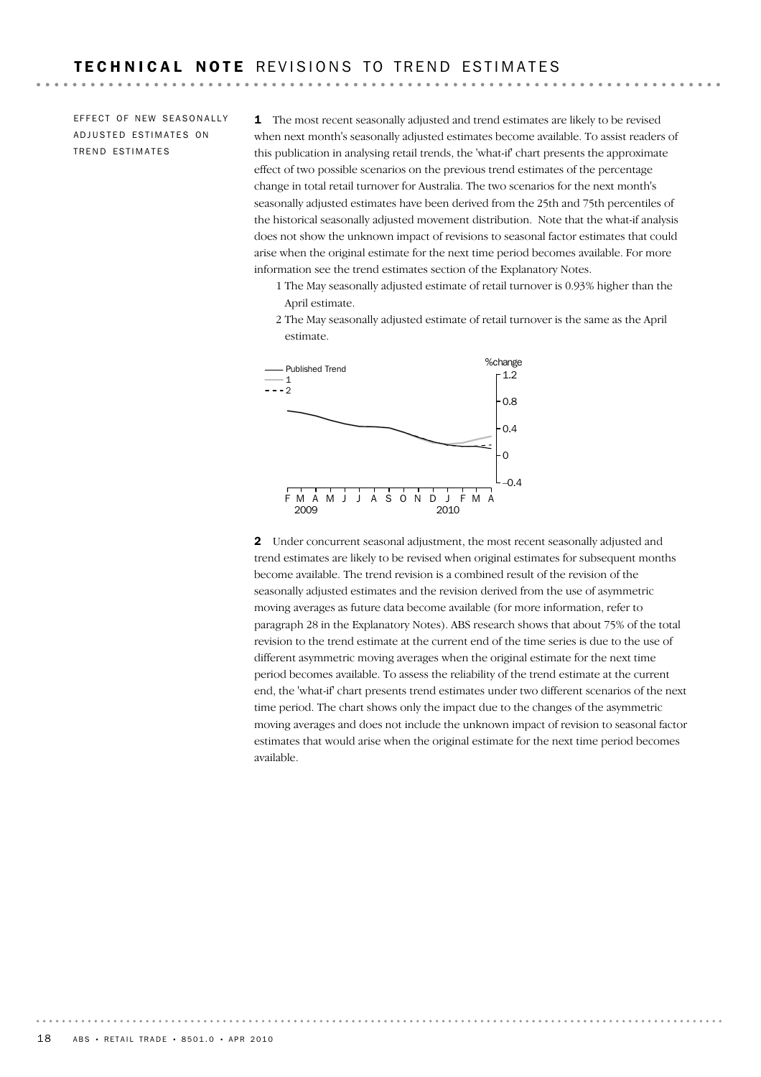EFFECT OF NEW SEASONALLY ADJUSTED ESTIMATES ON TREND ESTIMATES

1 The most recent seasonally adjusted and trend estimates are likely to be revised when next month's seasonally adjusted estimates become available. To assist readers of this publication in analysing retail trends, the 'what-if' chart presents the approximate effect of two possible scenarios on the previous trend estimates of the percentage change in total retail turnover for Australia. The two scenarios for the next month's seasonally adjusted estimates have been derived from the 25th and 75th percentiles of the historical seasonally adjusted movement distribution. Note that the what-if analysis does not show the unknown impact of revisions to seasonal factor estimates that could arise when the original estimate for the next time period becomes available. For more information see the trend estimates section of the Explanatory Notes.

- 1 The May seasonally adjusted estimate of retail turnover is 0.93% higher than the April estimate.
- 2 The May seasonally adjusted estimate of retail turnover is the same as the April estimate.



2 Under concurrent seasonal adjustment, the most recent seasonally adjusted and trend estimates are likely to be revised when original estimates for subsequent months become available. The trend revision is a combined result of the revision of the seasonally adjusted estimates and the revision derived from the use of asymmetric moving averages as future data become available (for more information, refer to paragraph 28 in the Explanatory Notes). ABS research shows that about 75% of the total revision to the trend estimate at the current end of the time series is due to the use of different asymmetric moving averages when the original estimate for the next time period becomes available. To assess the reliability of the trend estimate at the current end, the 'what-if' chart presents trend estimates under two different scenarios of the next time period. The chart shows only the impact due to the changes of the asymmetric moving averages and does not include the unknown impact of revision to seasonal factor estimates that would arise when the original estimate for the next time period becomes available.